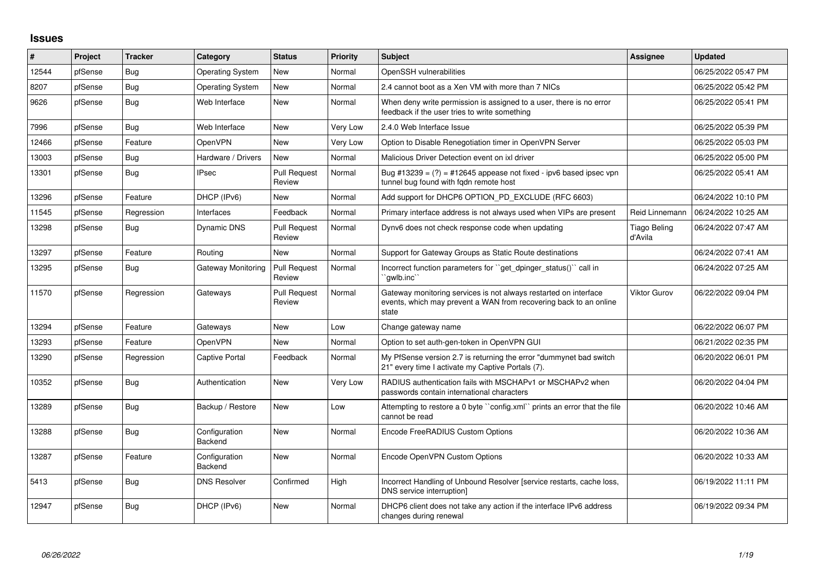## **Issues**

| #     | Project | <b>Tracker</b> | Category                 | <b>Status</b>                 | <b>Priority</b> | <b>Subject</b>                                                                                                                                 | Assignee                       | <b>Updated</b>      |
|-------|---------|----------------|--------------------------|-------------------------------|-----------------|------------------------------------------------------------------------------------------------------------------------------------------------|--------------------------------|---------------------|
| 12544 | pfSense | Bug            | <b>Operating System</b>  | <b>New</b>                    | Normal          | OpenSSH vulnerabilities                                                                                                                        |                                | 06/25/2022 05:47 PM |
| 8207  | pfSense | Bug            | <b>Operating System</b>  | New                           | Normal          | 2.4 cannot boot as a Xen VM with more than 7 NICs                                                                                              |                                | 06/25/2022 05:42 PM |
| 9626  | pfSense | <b>Bug</b>     | Web Interface            | <b>New</b>                    | Normal          | When deny write permission is assigned to a user, there is no error<br>feedback if the user tries to write something                           |                                | 06/25/2022 05:41 PM |
| 7996  | pfSense | <b>Bug</b>     | Web Interface            | <b>New</b>                    | Very Low        | 2.4.0 Web Interface Issue                                                                                                                      |                                | 06/25/2022 05:39 PM |
| 12466 | pfSense | Feature        | OpenVPN                  | New                           | Very Low        | Option to Disable Renegotiation timer in OpenVPN Server                                                                                        |                                | 06/25/2022 05:03 PM |
| 13003 | pfSense | Bug            | Hardware / Drivers       | <b>New</b>                    | Normal          | Malicious Driver Detection event on ixl driver                                                                                                 |                                | 06/25/2022 05:00 PM |
| 13301 | pfSense | Bug            | <b>IPsec</b>             | <b>Pull Request</b><br>Review | Normal          | Bug #13239 = $(?)$ = #12645 appease not fixed - ipv6 based ipsec vpn<br>tunnel bug found with fgdn remote host                                 |                                | 06/25/2022 05:41 AM |
| 13296 | pfSense | Feature        | DHCP (IPv6)              | New                           | Normal          | Add support for DHCP6 OPTION_PD_EXCLUDE (RFC 6603)                                                                                             |                                | 06/24/2022 10:10 PM |
| 11545 | pfSense | Regression     | Interfaces               | Feedback                      | Normal          | Primary interface address is not always used when VIPs are present                                                                             | Reid Linnemann                 | 06/24/2022 10:25 AM |
| 13298 | pfSense | <b>Bug</b>     | Dynamic DNS              | Pull Request<br>Review        | Normal          | Dynv6 does not check response code when updating                                                                                               | <b>Tiago Beling</b><br>d'Avila | 06/24/2022 07:47 AM |
| 13297 | pfSense | Feature        | Routing                  | New                           | Normal          | Support for Gateway Groups as Static Route destinations                                                                                        |                                | 06/24/2022 07:41 AM |
| 13295 | pfSense | Bug            | Gateway Monitoring       | <b>Pull Request</b><br>Review | Normal          | Incorrect function parameters for "get_dpinger_status()" call in<br>`qwlb.inc``                                                                |                                | 06/24/2022 07:25 AM |
| 11570 | pfSense | Regression     | Gateways                 | <b>Pull Request</b><br>Review | Normal          | Gateway monitoring services is not always restarted on interface<br>events, which may prevent a WAN from recovering back to an online<br>state | Viktor Gurov                   | 06/22/2022 09:04 PM |
| 13294 | pfSense | Feature        | Gateways                 | New                           | Low             | Change gateway name                                                                                                                            |                                | 06/22/2022 06:07 PM |
| 13293 | pfSense | Feature        | OpenVPN                  | <b>New</b>                    | Normal          | Option to set auth-gen-token in OpenVPN GUI                                                                                                    |                                | 06/21/2022 02:35 PM |
| 13290 | pfSense | Regression     | Captive Portal           | Feedback                      | Normal          | My PfSense version 2.7 is returning the error "dummynet bad switch<br>21" every time I activate my Captive Portals (7).                        |                                | 06/20/2022 06:01 PM |
| 10352 | pfSense | Bug            | Authentication           | <b>New</b>                    | Very Low        | RADIUS authentication fails with MSCHAPv1 or MSCHAPv2 when<br>passwords contain international characters                                       |                                | 06/20/2022 04:04 PM |
| 13289 | pfSense | Bug            | Backup / Restore         | <b>New</b>                    | Low             | Attempting to restore a 0 byte "config.xml" prints an error that the file<br>cannot be read                                                    |                                | 06/20/2022 10:46 AM |
| 13288 | pfSense | <b>Bug</b>     | Configuration<br>Backend | New                           | Normal          | Encode FreeRADIUS Custom Options                                                                                                               |                                | 06/20/2022 10:36 AM |
| 13287 | pfSense | Feature        | Configuration<br>Backend | <b>New</b>                    | Normal          | Encode OpenVPN Custom Options                                                                                                                  |                                | 06/20/2022 10:33 AM |
| 5413  | pfSense | <b>Bug</b>     | <b>DNS Resolver</b>      | Confirmed                     | High            | Incorrect Handling of Unbound Resolver [service restarts, cache loss,<br>DNS service interruption]                                             |                                | 06/19/2022 11:11 PM |
| 12947 | pfSense | Bug            | DHCP (IPv6)              | New                           | Normal          | DHCP6 client does not take any action if the interface IPv6 address<br>changes during renewal                                                  |                                | 06/19/2022 09:34 PM |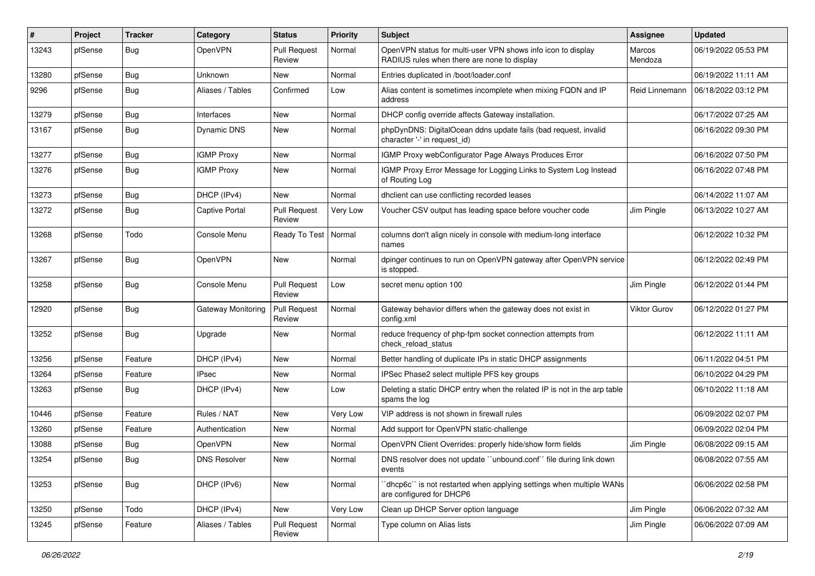| ∦     | Project | <b>Tracker</b> | Category                  | <b>Status</b>                 | <b>Priority</b> | <b>Subject</b>                                                                                              | Assignee            | <b>Updated</b>      |
|-------|---------|----------------|---------------------------|-------------------------------|-----------------|-------------------------------------------------------------------------------------------------------------|---------------------|---------------------|
| 13243 | pfSense | Bug            | OpenVPN                   | <b>Pull Request</b><br>Review | Normal          | OpenVPN status for multi-user VPN shows info icon to display<br>RADIUS rules when there are none to display | Marcos<br>Mendoza   | 06/19/2022 05:53 PM |
| 13280 | pfSense | <b>Bug</b>     | Unknown                   | New                           | Normal          | Entries duplicated in /boot/loader.conf                                                                     |                     | 06/19/2022 11:11 AM |
| 9296  | pfSense | <b>Bug</b>     | Aliases / Tables          | Confirmed                     | Low             | Alias content is sometimes incomplete when mixing FQDN and IP<br>address                                    | Reid Linnemann      | 06/18/2022 03:12 PM |
| 13279 | pfSense | Bug            | Interfaces                | New                           | Normal          | DHCP config override affects Gateway installation.                                                          |                     | 06/17/2022 07:25 AM |
| 13167 | pfSense | <b>Bug</b>     | <b>Dynamic DNS</b>        | New                           | Normal          | phpDynDNS: DigitalOcean ddns update fails (bad request, invalid<br>character '-' in request_id)             |                     | 06/16/2022 09:30 PM |
| 13277 | pfSense | Bug            | <b>IGMP Proxy</b>         | New                           | Normal          | IGMP Proxy webConfigurator Page Always Produces Error                                                       |                     | 06/16/2022 07:50 PM |
| 13276 | pfSense | <b>Bug</b>     | <b>IGMP Proxy</b>         | New                           | Normal          | IGMP Proxy Error Message for Logging Links to System Log Instead<br>of Routing Log                          |                     | 06/16/2022 07:48 PM |
| 13273 | pfSense | Bug            | DHCP (IPv4)               | New                           | Normal          | dhclient can use conflicting recorded leases                                                                |                     | 06/14/2022 11:07 AM |
| 13272 | pfSense | Bug            | <b>Captive Portal</b>     | <b>Pull Request</b><br>Review | Very Low        | Voucher CSV output has leading space before voucher code                                                    | Jim Pingle          | 06/13/2022 10:27 AM |
| 13268 | pfSense | Todo           | Console Menu              | Ready To Test                 | Normal          | columns don't align nicely in console with medium-long interface<br>names                                   |                     | 06/12/2022 10:32 PM |
| 13267 | pfSense | Bug            | <b>OpenVPN</b>            | <b>New</b>                    | Normal          | dpinger continues to run on OpenVPN gateway after OpenVPN service<br>is stopped.                            |                     | 06/12/2022 02:49 PM |
| 13258 | pfSense | Bug            | Console Menu              | <b>Pull Request</b><br>Review | Low             | secret menu option 100                                                                                      | Jim Pingle          | 06/12/2022 01:44 PM |
| 12920 | pfSense | <b>Bug</b>     | <b>Gateway Monitoring</b> | <b>Pull Request</b><br>Review | Normal          | Gateway behavior differs when the gateway does not exist in<br>config.xml                                   | <b>Viktor Gurov</b> | 06/12/2022 01:27 PM |
| 13252 | pfSense | <b>Bug</b>     | Upgrade                   | New                           | Normal          | reduce frequency of php-fpm socket connection attempts from<br>check reload status                          |                     | 06/12/2022 11:11 AM |
| 13256 | pfSense | Feature        | DHCP (IPv4)               | New                           | Normal          | Better handling of duplicate IPs in static DHCP assignments                                                 |                     | 06/11/2022 04:51 PM |
| 13264 | pfSense | Feature        | <b>IPsec</b>              | New                           | Normal          | IPSec Phase2 select multiple PFS key groups                                                                 |                     | 06/10/2022 04:29 PM |
| 13263 | pfSense | Bug            | DHCP (IPv4)               | New                           | Low             | Deleting a static DHCP entry when the related IP is not in the arp table<br>spams the log                   |                     | 06/10/2022 11:18 AM |
| 10446 | pfSense | Feature        | Rules / NAT               | <b>New</b>                    | Very Low        | VIP address is not shown in firewall rules                                                                  |                     | 06/09/2022 02:07 PM |
| 13260 | pfSense | Feature        | Authentication            | New                           | Normal          | Add support for OpenVPN static-challenge                                                                    |                     | 06/09/2022 02:04 PM |
| 13088 | pfSense | <b>Bug</b>     | OpenVPN                   | New                           | Normal          | OpenVPN Client Overrides: properly hide/show form fields                                                    | Jim Pingle          | 06/08/2022 09:15 AM |
| 13254 | pfSense | <b>Bug</b>     | <b>DNS Resolver</b>       | New                           | Normal          | DNS resolver does not update "unbound.conf" file during link down<br>events                                 |                     | 06/08/2022 07:55 AM |
| 13253 | pfSense | Bug            | DHCP (IPv6)               | New                           | Normal          | dhcp6c" is not restarted when applying settings when multiple WANs<br>are configured for DHCP6              |                     | 06/06/2022 02:58 PM |
| 13250 | pfSense | Todo           | DHCP (IPv4)               | New                           | Very Low        | Clean up DHCP Server option language                                                                        | Jim Pingle          | 06/06/2022 07:32 AM |
| 13245 | pfSense | Feature        | Aliases / Tables          | <b>Pull Request</b><br>Review | Normal          | Type column on Alias lists                                                                                  | Jim Pingle          | 06/06/2022 07:09 AM |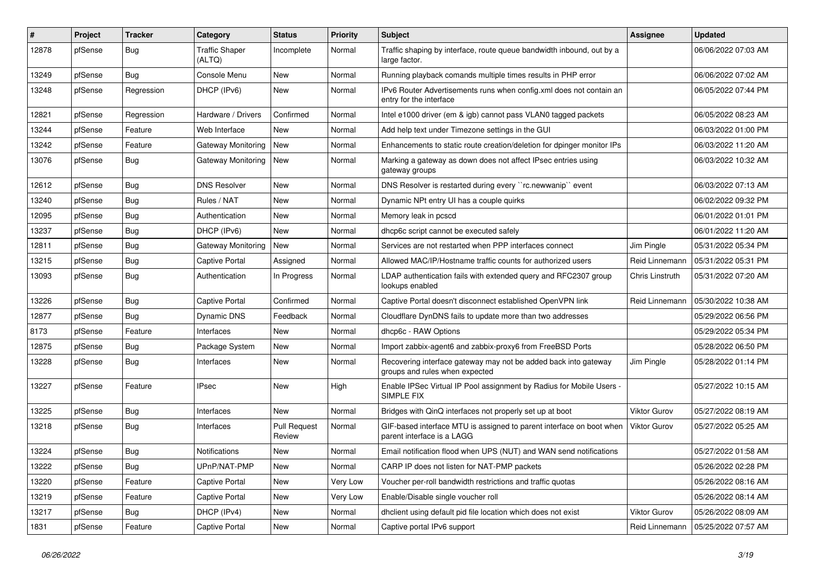| #     | Project | <b>Tracker</b> | Category                  | <b>Status</b>                 | <b>Priority</b> | Subject                                                                                            | <b>Assignee</b>        | <b>Updated</b>      |
|-------|---------|----------------|---------------------------|-------------------------------|-----------------|----------------------------------------------------------------------------------------------------|------------------------|---------------------|
| 12878 | pfSense | <b>Bug</b>     | Traffic Shaper<br>(ALTQ)  | Incomplete                    | Normal          | Traffic shaping by interface, route queue bandwidth inbound, out by a<br>large factor.             |                        | 06/06/2022 07:03 AM |
| 13249 | pfSense | Bug            | Console Menu              | New                           | Normal          | Running playback comands multiple times results in PHP error                                       |                        | 06/06/2022 07:02 AM |
| 13248 | pfSense | Regression     | DHCP (IPv6)               | New                           | Normal          | IPv6 Router Advertisements runs when config.xml does not contain an<br>entry for the interface     |                        | 06/05/2022 07:44 PM |
| 12821 | pfSense | Regression     | Hardware / Drivers        | Confirmed                     | Normal          | Intel e1000 driver (em & igb) cannot pass VLAN0 tagged packets                                     |                        | 06/05/2022 08:23 AM |
| 13244 | pfSense | Feature        | Web Interface             | New                           | Normal          | Add help text under Timezone settings in the GUI                                                   |                        | 06/03/2022 01:00 PM |
| 13242 | pfSense | Feature        | Gateway Monitoring        | <b>New</b>                    | Normal          | Enhancements to static route creation/deletion for dpinger monitor IPs                             |                        | 06/03/2022 11:20 AM |
| 13076 | pfSense | <b>Bug</b>     | <b>Gateway Monitoring</b> | New                           | Normal          | Marking a gateway as down does not affect IPsec entries using<br>gateway groups                    |                        | 06/03/2022 10:32 AM |
| 12612 | pfSense | <b>Bug</b>     | <b>DNS Resolver</b>       | New                           | Normal          | DNS Resolver is restarted during every "rc.newwanip" event                                         |                        | 06/03/2022 07:13 AM |
| 13240 | pfSense | <b>Bug</b>     | Rules / NAT               | New                           | Normal          | Dynamic NPt entry UI has a couple quirks                                                           |                        | 06/02/2022 09:32 PM |
| 12095 | pfSense | <b>Bug</b>     | Authentication            | New                           | Normal          | Memory leak in pcscd                                                                               |                        | 06/01/2022 01:01 PM |
| 13237 | pfSense | <b>Bug</b>     | DHCP (IPv6)               | New                           | Normal          | dhcp6c script cannot be executed safely                                                            |                        | 06/01/2022 11:20 AM |
| 12811 | pfSense | Bug            | Gateway Monitoring        | New                           | Normal          | Services are not restarted when PPP interfaces connect                                             | Jim Pingle             | 05/31/2022 05:34 PM |
| 13215 | pfSense | <b>Bug</b>     | Captive Portal            | Assigned                      | Normal          | Allowed MAC/IP/Hostname traffic counts for authorized users                                        | Reid Linnemann         | 05/31/2022 05:31 PM |
| 13093 | pfSense | <b>Bug</b>     | Authentication            | In Progress                   | Normal          | LDAP authentication fails with extended query and RFC2307 group<br>lookups enabled                 | <b>Chris Linstruth</b> | 05/31/2022 07:20 AM |
| 13226 | pfSense | <b>Bug</b>     | Captive Portal            | Confirmed                     | Normal          | Captive Portal doesn't disconnect established OpenVPN link                                         | Reid Linnemann         | 05/30/2022 10:38 AM |
| 12877 | pfSense | <b>Bug</b>     | Dynamic DNS               | Feedback                      | Normal          | Cloudflare DynDNS fails to update more than two addresses                                          |                        | 05/29/2022 06:56 PM |
| 8173  | pfSense | Feature        | Interfaces                | <b>New</b>                    | Normal          | dhcp6c - RAW Options                                                                               |                        | 05/29/2022 05:34 PM |
| 12875 | pfSense | <b>Bug</b>     | Package System            | New                           | Normal          | Import zabbix-agent6 and zabbix-proxy6 from FreeBSD Ports                                          |                        | 05/28/2022 06:50 PM |
| 13228 | pfSense | <b>Bug</b>     | Interfaces                | New                           | Normal          | Recovering interface gateway may not be added back into gateway<br>groups and rules when expected  | Jim Pingle             | 05/28/2022 01:14 PM |
| 13227 | pfSense | Feature        | <b>IPsec</b>              | <b>New</b>                    | High            | Enable IPSec Virtual IP Pool assignment by Radius for Mobile Users -<br>SIMPLE FIX                 |                        | 05/27/2022 10:15 AM |
| 13225 | pfSense | <b>Bug</b>     | Interfaces                | New                           | Normal          | Bridges with QinQ interfaces not properly set up at boot                                           | <b>Viktor Gurov</b>    | 05/27/2022 08:19 AM |
| 13218 | pfSense | <b>Bug</b>     | Interfaces                | <b>Pull Request</b><br>Review | Normal          | GIF-based interface MTU is assigned to parent interface on boot when<br>parent interface is a LAGG | Viktor Gurov           | 05/27/2022 05:25 AM |
| 13224 | pfSense | <b>Bug</b>     | Notifications             | New                           | Normal          | Email notification flood when UPS (NUT) and WAN send notifications                                 |                        | 05/27/2022 01:58 AM |
| 13222 | pfSense | Bug            | UPnP/NAT-PMP              | New                           | Normal          | CARP IP does not listen for NAT-PMP packets                                                        |                        | 05/26/2022 02:28 PM |
| 13220 | pfSense | Feature        | Captive Portal            | New                           | Very Low        | Voucher per-roll bandwidth restrictions and traffic quotas                                         |                        | 05/26/2022 08:16 AM |
| 13219 | pfSense | Feature        | Captive Portal            | New                           | Very Low        | Enable/Disable single voucher roll                                                                 |                        | 05/26/2022 08:14 AM |
| 13217 | pfSense | <b>Bug</b>     | DHCP (IPv4)               | New                           | Normal          | dhclient using default pid file location which does not exist                                      | Viktor Gurov           | 05/26/2022 08:09 AM |
| 1831  | pfSense | Feature        | Captive Portal            | New                           | Normal          | Captive portal IPv6 support                                                                        | Reid Linnemann         | 05/25/2022 07:57 AM |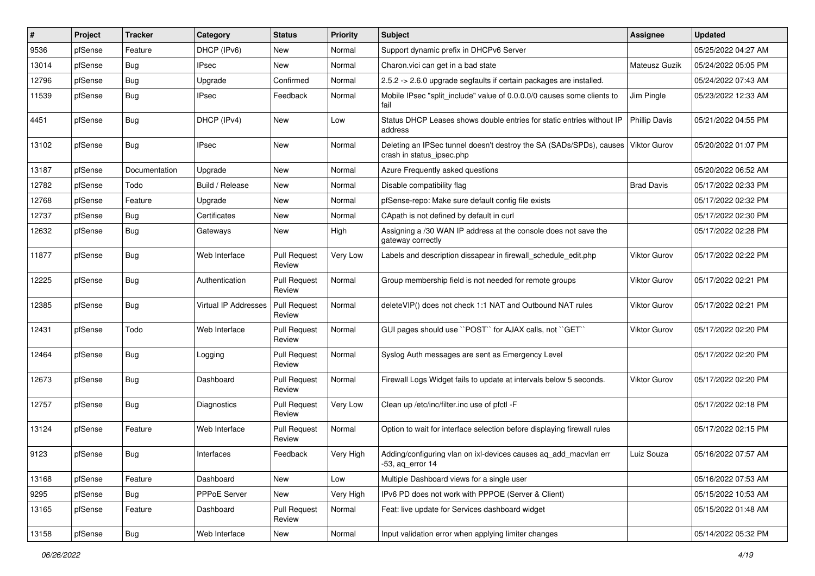| #     | Project | <b>Tracker</b> | Category                    | <b>Status</b>                 | <b>Priority</b> | <b>Subject</b>                                                                                   | <b>Assignee</b>      | <b>Updated</b>      |
|-------|---------|----------------|-----------------------------|-------------------------------|-----------------|--------------------------------------------------------------------------------------------------|----------------------|---------------------|
| 9536  | pfSense | Feature        | DHCP (IPv6)                 | New                           | Normal          | Support dynamic prefix in DHCPv6 Server                                                          |                      | 05/25/2022 04:27 AM |
| 13014 | pfSense | <b>Bug</b>     | <b>IPsec</b>                | New                           | Normal          | Charon.vici can get in a bad state                                                               | Mateusz Guzik        | 05/24/2022 05:05 PM |
| 12796 | pfSense | <b>Bug</b>     | Upgrade                     | Confirmed                     | Normal          | 2.5.2 -> 2.6.0 upgrade segfaults if certain packages are installed.                              |                      | 05/24/2022 07:43 AM |
| 11539 | pfSense | <b>Bug</b>     | IPsec                       | Feedback                      | Normal          | Mobile IPsec "split include" value of 0.0.0.0/0 causes some clients to<br>fail                   | Jim Pingle           | 05/23/2022 12:33 AM |
| 4451  | pfSense | <b>Bug</b>     | DHCP (IPv4)                 | New                           | Low             | Status DHCP Leases shows double entries for static entries without IP<br>address                 | <b>Phillip Davis</b> | 05/21/2022 04:55 PM |
| 13102 | pfSense | Bug            | <b>IPsec</b>                | New                           | Normal          | Deleting an IPSec tunnel doesn't destroy the SA (SADs/SPDs), causes<br>crash in status_ipsec.php | <b>Viktor Gurov</b>  | 05/20/2022 01:07 PM |
| 13187 | pfSense | Documentation  | Upgrade                     | <b>New</b>                    | Normal          | Azure Frequently asked questions                                                                 |                      | 05/20/2022 06:52 AM |
| 12782 | pfSense | Todo           | Build / Release             | New                           | Normal          | Disable compatibility flag                                                                       | <b>Brad Davis</b>    | 05/17/2022 02:33 PM |
| 12768 | pfSense | Feature        | Upgrade                     | New                           | Normal          | pfSense-repo: Make sure default config file exists                                               |                      | 05/17/2022 02:32 PM |
| 12737 | pfSense | <b>Bug</b>     | Certificates                | New                           | Normal          | CApath is not defined by default in curl                                                         |                      | 05/17/2022 02:30 PM |
| 12632 | pfSense | <b>Bug</b>     | Gateways                    | New                           | High            | Assigning a /30 WAN IP address at the console does not save the<br>gateway correctly             |                      | 05/17/2022 02:28 PM |
| 11877 | pfSense | <b>Bug</b>     | Web Interface               | <b>Pull Request</b><br>Review | Very Low        | Labels and description dissapear in firewall schedule edit.php                                   | <b>Viktor Gurov</b>  | 05/17/2022 02:22 PM |
| 12225 | pfSense | <b>Bug</b>     | Authentication              | <b>Pull Request</b><br>Review | Normal          | Group membership field is not needed for remote groups                                           | Viktor Gurov         | 05/17/2022 02:21 PM |
| 12385 | pfSense | Bug            | <b>Virtual IP Addresses</b> | <b>Pull Request</b><br>Review | Normal          | deleteVIP() does not check 1:1 NAT and Outbound NAT rules                                        | <b>Viktor Gurov</b>  | 05/17/2022 02:21 PM |
| 12431 | pfSense | Todo           | Web Interface               | <b>Pull Request</b><br>Review | Normal          | GUI pages should use "POST" for AJAX calls, not "GET"                                            | <b>Viktor Gurov</b>  | 05/17/2022 02:20 PM |
| 12464 | pfSense | <b>Bug</b>     | Logging                     | <b>Pull Request</b><br>Review | Normal          | Syslog Auth messages are sent as Emergency Level                                                 |                      | 05/17/2022 02:20 PM |
| 12673 | pfSense | Bug            | Dashboard                   | <b>Pull Request</b><br>Review | Normal          | Firewall Logs Widget fails to update at intervals below 5 seconds.                               | Viktor Gurov         | 05/17/2022 02:20 PM |
| 12757 | pfSense | <b>Bug</b>     | Diagnostics                 | <b>Pull Request</b><br>Review | Very Low        | Clean up /etc/inc/filter.inc use of pfctl -F                                                     |                      | 05/17/2022 02:18 PM |
| 13124 | pfSense | Feature        | Web Interface               | <b>Pull Request</b><br>Review | Normal          | Option to wait for interface selection before displaying firewall rules                          |                      | 05/17/2022 02:15 PM |
| 9123  | pfSense | <b>Bug</b>     | Interfaces                  | Feedback                      | Very High       | Adding/configuring vlan on ixl-devices causes ag add macvlan err<br>$-53$ , aq_error 14          | Luiz Souza           | 05/16/2022 07:57 AM |
| 13168 | pfSense | Feature        | Dashboard                   | New                           | Low             | Multiple Dashboard views for a single user                                                       |                      | 05/16/2022 07:53 AM |
| 9295  | pfSense | <b>Bug</b>     | PPPoE Server                | New                           | Very High       | IPv6 PD does not work with PPPOE (Server & Client)                                               |                      | 05/15/2022 10:53 AM |
| 13165 | pfSense | Feature        | Dashboard                   | <b>Pull Request</b><br>Review | Normal          | Feat: live update for Services dashboard widget                                                  |                      | 05/15/2022 01:48 AM |
| 13158 | pfSense | Bug            | Web Interface               | New                           | Normal          | Input validation error when applying limiter changes                                             |                      | 05/14/2022 05:32 PM |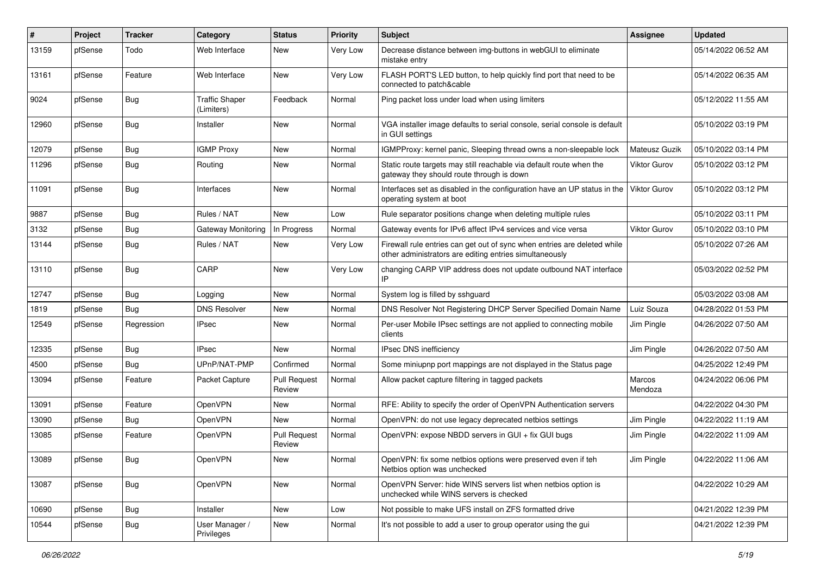| #     | Project | <b>Tracker</b> | Category                            | <b>Status</b>                 | <b>Priority</b> | <b>Subject</b>                                                                                                                      | <b>Assignee</b>     | <b>Updated</b>      |
|-------|---------|----------------|-------------------------------------|-------------------------------|-----------------|-------------------------------------------------------------------------------------------------------------------------------------|---------------------|---------------------|
| 13159 | pfSense | Todo           | Web Interface                       | New                           | Very Low        | Decrease distance between img-buttons in webGUI to eliminate<br>mistake entry                                                       |                     | 05/14/2022 06:52 AM |
| 13161 | pfSense | Feature        | Web Interface                       | <b>New</b>                    | Very Low        | FLASH PORT'S LED button, to help quickly find port that need to be<br>connected to patch&cable                                      |                     | 05/14/2022 06:35 AM |
| 9024  | pfSense | <b>Bug</b>     | <b>Traffic Shaper</b><br>(Limiters) | Feedback                      | Normal          | Ping packet loss under load when using limiters                                                                                     |                     | 05/12/2022 11:55 AM |
| 12960 | pfSense | <b>Bug</b>     | Installer                           | New                           | Normal          | VGA installer image defaults to serial console, serial console is default<br>in GUI settings                                        |                     | 05/10/2022 03:19 PM |
| 12079 | pfSense | <b>Bug</b>     | <b>IGMP Proxy</b>                   | New                           | Normal          | IGMPProxy: kernel panic, Sleeping thread owns a non-sleepable lock                                                                  | Mateusz Guzik       | 05/10/2022 03:14 PM |
| 11296 | pfSense | <b>Bug</b>     | Routing                             | New                           | Normal          | Static route targets may still reachable via default route when the<br>gateway they should route through is down                    | Viktor Gurov        | 05/10/2022 03:12 PM |
| 11091 | pfSense | <b>Bug</b>     | Interfaces                          | <b>New</b>                    | Normal          | Interfaces set as disabled in the configuration have an UP status in the<br>operating system at boot                                | Viktor Gurov        | 05/10/2022 03:12 PM |
| 9887  | pfSense | <b>Bug</b>     | Rules / NAT                         | <b>New</b>                    | Low             | Rule separator positions change when deleting multiple rules                                                                        |                     | 05/10/2022 03:11 PM |
| 3132  | pfSense | Bug            | Gateway Monitoring                  | In Progress                   | Normal          | Gateway events for IPv6 affect IPv4 services and vice versa                                                                         | <b>Viktor Gurov</b> | 05/10/2022 03:10 PM |
| 13144 | pfSense | <b>Bug</b>     | Rules / NAT                         | New                           | Very Low        | Firewall rule entries can get out of sync when entries are deleted while<br>other administrators are editing entries simultaneously |                     | 05/10/2022 07:26 AM |
| 13110 | pfSense | <b>Bug</b>     | CARP                                | New                           | Very Low        | changing CARP VIP address does not update outbound NAT interface<br>IP                                                              |                     | 05/03/2022 02:52 PM |
| 12747 | pfSense | Bug            | Logging                             | New                           | Normal          | System log is filled by sshquard                                                                                                    |                     | 05/03/2022 03:08 AM |
| 1819  | pfSense | <b>Bug</b>     | <b>DNS Resolver</b>                 | <b>New</b>                    | Normal          | DNS Resolver Not Registering DHCP Server Specified Domain Name                                                                      | Luiz Souza          | 04/28/2022 01:53 PM |
| 12549 | pfSense | Regression     | <b>IPsec</b>                        | New                           | Normal          | Per-user Mobile IPsec settings are not applied to connecting mobile<br>clients                                                      | Jim Pingle          | 04/26/2022 07:50 AM |
| 12335 | pfSense | Bug            | <b>IPsec</b>                        | New                           | Normal          | IPsec DNS inefficiency                                                                                                              | Jim Pingle          | 04/26/2022 07:50 AM |
| 4500  | pfSense | <b>Bug</b>     | UPnP/NAT-PMP                        | Confirmed                     | Normal          | Some miniupnp port mappings are not displayed in the Status page                                                                    |                     | 04/25/2022 12:49 PM |
| 13094 | pfSense | Feature        | Packet Capture                      | <b>Pull Request</b><br>Review | Normal          | Allow packet capture filtering in tagged packets                                                                                    | Marcos<br>Mendoza   | 04/24/2022 06:06 PM |
| 13091 | pfSense | Feature        | OpenVPN                             | New                           | Normal          | RFE: Ability to specify the order of OpenVPN Authentication servers                                                                 |                     | 04/22/2022 04:30 PM |
| 13090 | pfSense | <b>Bug</b>     | OpenVPN                             | New                           | Normal          | OpenVPN: do not use legacy deprecated netbios settings                                                                              | Jim Pingle          | 04/22/2022 11:19 AM |
| 13085 | pfSense | Feature        | OpenVPN                             | <b>Pull Request</b><br>Review | Normal          | OpenVPN: expose NBDD servers in GUI + fix GUI bugs                                                                                  | Jim Pingle          | 04/22/2022 11:09 AM |
| 13089 | pfSense | Bug            | OpenVPN                             | New                           | Normal          | OpenVPN: fix some netbios options were preserved even if teh<br>Netbios option was unchecked                                        | Jim Pingle          | 04/22/2022 11:06 AM |
| 13087 | pfSense | <b>Bug</b>     | OpenVPN                             | New                           | Normal          | OpenVPN Server: hide WINS servers list when netbios option is<br>unchecked while WINS servers is checked                            |                     | 04/22/2022 10:29 AM |
| 10690 | pfSense | <b>Bug</b>     | Installer                           | New                           | Low             | Not possible to make UFS install on ZFS formatted drive                                                                             |                     | 04/21/2022 12:39 PM |
| 10544 | pfSense | Bug            | User Manager /<br>Privileges        | New                           | Normal          | It's not possible to add a user to group operator using the gui                                                                     |                     | 04/21/2022 12:39 PM |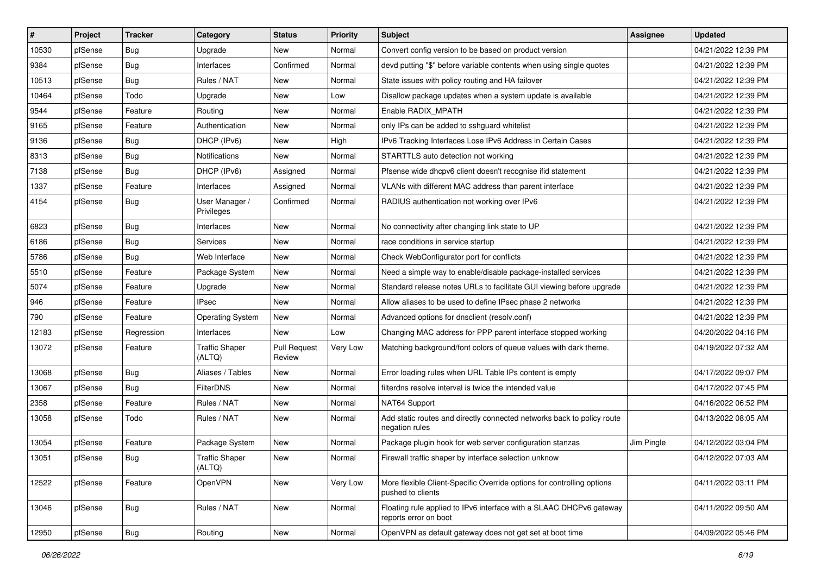| #     | Project | <b>Tracker</b> | Category                        | <b>Status</b>                 | <b>Priority</b> | Subject                                                                                      | <b>Assignee</b> | <b>Updated</b>      |
|-------|---------|----------------|---------------------------------|-------------------------------|-----------------|----------------------------------------------------------------------------------------------|-----------------|---------------------|
| 10530 | pfSense | <b>Bug</b>     | Upgrade                         | New                           | Normal          | Convert config version to be based on product version                                        |                 | 04/21/2022 12:39 PM |
| 9384  | pfSense | <b>Bug</b>     | Interfaces                      | Confirmed                     | Normal          | devd putting "\$" before variable contents when using single quotes                          |                 | 04/21/2022 12:39 PM |
| 10513 | pfSense | <b>Bug</b>     | Rules / NAT                     | New                           | Normal          | State issues with policy routing and HA failover                                             |                 | 04/21/2022 12:39 PM |
| 10464 | pfSense | Todo           | Upgrade                         | New                           | Low             | Disallow package updates when a system update is available                                   |                 | 04/21/2022 12:39 PM |
| 9544  | pfSense | Feature        | Routing                         | New                           | Normal          | Enable RADIX_MPATH                                                                           |                 | 04/21/2022 12:39 PM |
| 9165  | pfSense | Feature        | Authentication                  | New                           | Normal          | only IPs can be added to sshguard whitelist                                                  |                 | 04/21/2022 12:39 PM |
| 9136  | pfSense | <b>Bug</b>     | DHCP (IPv6)                     | New                           | High            | IPv6 Tracking Interfaces Lose IPv6 Address in Certain Cases                                  |                 | 04/21/2022 12:39 PM |
| 8313  | pfSense | Bug            | <b>Notifications</b>            | New                           | Normal          | STARTTLS auto detection not working                                                          |                 | 04/21/2022 12:39 PM |
| 7138  | pfSense | <b>Bug</b>     | DHCP (IPv6)                     | Assigned                      | Normal          | Pfsense wide dhcpv6 client doesn't recognise ifid statement                                  |                 | 04/21/2022 12:39 PM |
| 1337  | pfSense | Feature        | Interfaces                      | Assigned                      | Normal          | VLANs with different MAC address than parent interface                                       |                 | 04/21/2022 12:39 PM |
| 4154  | pfSense | <b>Bug</b>     | User Manager /<br>Privileges    | Confirmed                     | Normal          | RADIUS authentication not working over IPv6                                                  |                 | 04/21/2022 12:39 PM |
| 6823  | pfSense | <b>Bug</b>     | Interfaces                      | <b>New</b>                    | Normal          | No connectivity after changing link state to UP                                              |                 | 04/21/2022 12:39 PM |
| 6186  | pfSense | Bug            | Services                        | New                           | Normal          | race conditions in service startup                                                           |                 | 04/21/2022 12:39 PM |
| 5786  | pfSense | <b>Bug</b>     | Web Interface                   | New                           | Normal          | Check WebConfigurator port for conflicts                                                     |                 | 04/21/2022 12:39 PM |
| 5510  | pfSense | Feature        | Package System                  | New                           | Normal          | Need a simple way to enable/disable package-installed services                               |                 | 04/21/2022 12:39 PM |
| 5074  | pfSense | Feature        | Upgrade                         | <b>New</b>                    | Normal          | Standard release notes URLs to facilitate GUI viewing before upgrade                         |                 | 04/21/2022 12:39 PM |
| 946   | pfSense | Feature        | <b>IPsec</b>                    | New                           | Normal          | Allow aliases to be used to define IPsec phase 2 networks                                    |                 | 04/21/2022 12:39 PM |
| 790   | pfSense | Feature        | <b>Operating System</b>         | New                           | Normal          | Advanced options for dnsclient (resolv.conf)                                                 |                 | 04/21/2022 12:39 PM |
| 12183 | pfSense | Regression     | Interfaces                      | New                           | Low             | Changing MAC address for PPP parent interface stopped working                                |                 | 04/20/2022 04:16 PM |
| 13072 | pfSense | Feature        | <b>Traffic Shaper</b><br>(ALTQ) | <b>Pull Request</b><br>Review | Very Low        | Matching background/font colors of queue values with dark theme.                             |                 | 04/19/2022 07:32 AM |
| 13068 | pfSense | <b>Bug</b>     | Aliases / Tables                | <b>New</b>                    | Normal          | Error loading rules when URL Table IPs content is empty                                      |                 | 04/17/2022 09:07 PM |
| 13067 | pfSense | Bug            | <b>FilterDNS</b>                | New                           | Normal          | filterdns resolve interval is twice the intended value                                       |                 | 04/17/2022 07:45 PM |
| 2358  | pfSense | Feature        | Rules / NAT                     | New                           | Normal          | NAT64 Support                                                                                |                 | 04/16/2022 06:52 PM |
| 13058 | pfSense | Todo           | Rules / NAT                     | New                           | Normal          | Add static routes and directly connected networks back to policy route<br>negation rules     |                 | 04/13/2022 08:05 AM |
| 13054 | pfSense | Feature        | Package System                  | New                           | Normal          | Package plugin hook for web server configuration stanzas                                     | Jim Pingle      | 04/12/2022 03:04 PM |
| 13051 | pfSense | <b>Bug</b>     | <b>Traffic Shaper</b><br>(ALTQ) | New                           | Normal          | Firewall traffic shaper by interface selection unknow                                        |                 | 04/12/2022 07:03 AM |
| 12522 | pfSense | Feature        | OpenVPN                         | New                           | Very Low        | More flexible Client-Specific Override options for controlling options<br>pushed to clients  |                 | 04/11/2022 03:11 PM |
| 13046 | pfSense | Bug            | Rules / NAT                     | New                           | Normal          | Floating rule applied to IPv6 interface with a SLAAC DHCPv6 gateway<br>reports error on boot |                 | 04/11/2022 09:50 AM |
| 12950 | pfSense | <b>Bug</b>     | Routing                         | New                           | Normal          | OpenVPN as default gateway does not get set at boot time                                     |                 | 04/09/2022 05:46 PM |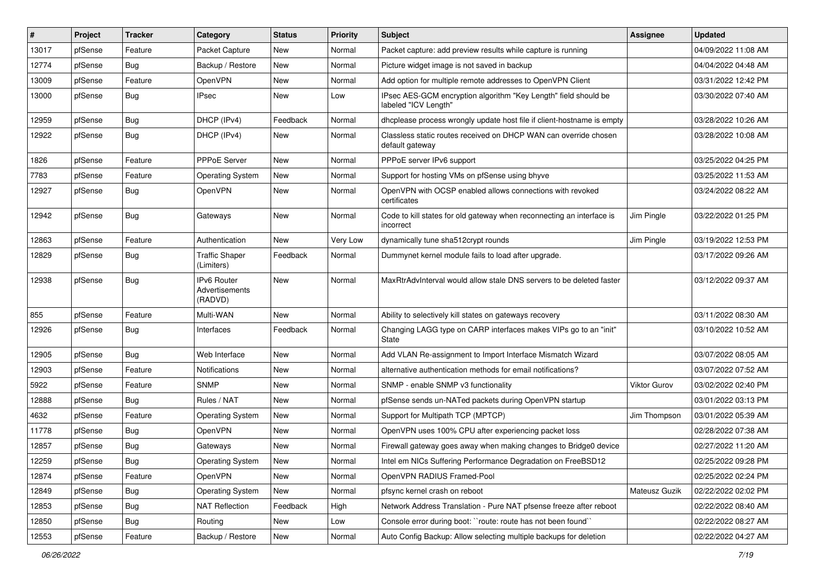| ∦     | Project | <b>Tracker</b> | Category                                 | <b>Status</b> | <b>Priority</b> | Subject                                                                                 | Assignee      | <b>Updated</b>      |
|-------|---------|----------------|------------------------------------------|---------------|-----------------|-----------------------------------------------------------------------------------------|---------------|---------------------|
| 13017 | pfSense | Feature        | Packet Capture                           | New           | Normal          | Packet capture: add preview results while capture is running                            |               | 04/09/2022 11:08 AM |
| 12774 | pfSense | <b>Bug</b>     | Backup / Restore                         | New           | Normal          | Picture widget image is not saved in backup                                             |               | 04/04/2022 04:48 AM |
| 13009 | pfSense | Feature        | <b>OpenVPN</b>                           | New           | Normal          | Add option for multiple remote addresses to OpenVPN Client                              |               | 03/31/2022 12:42 PM |
| 13000 | pfSense | <b>Bug</b>     | IPsec                                    | New           | Low             | IPsec AES-GCM encryption algorithm "Key Length" field should be<br>labeled "ICV Length" |               | 03/30/2022 07:40 AM |
| 12959 | pfSense | <b>Bug</b>     | DHCP (IPv4)                              | Feedback      | Normal          | dhcplease process wrongly update host file if client-hostname is empty                  |               | 03/28/2022 10:26 AM |
| 12922 | pfSense | <b>Bug</b>     | DHCP (IPv4)                              | New           | Normal          | Classless static routes received on DHCP WAN can override chosen<br>default gateway     |               | 03/28/2022 10:08 AM |
| 1826  | pfSense | Feature        | PPPoE Server                             | New           | Normal          | PPPoE server IPv6 support                                                               |               | 03/25/2022 04:25 PM |
| 7783  | pfSense | Feature        | <b>Operating System</b>                  | New           | Normal          | Support for hosting VMs on pfSense using bhyve                                          |               | 03/25/2022 11:53 AM |
| 12927 | pfSense | <b>Bug</b>     | OpenVPN                                  | New           | Normal          | OpenVPN with OCSP enabled allows connections with revoked<br>certificates               |               | 03/24/2022 08:22 AM |
| 12942 | pfSense | <b>Bug</b>     | Gateways                                 | <b>New</b>    | Normal          | Code to kill states for old gateway when reconnecting an interface is<br>incorrect      | Jim Pingle    | 03/22/2022 01:25 PM |
| 12863 | pfSense | Feature        | Authentication                           | New           | Very Low        | dynamically tune sha512crypt rounds                                                     | Jim Pingle    | 03/19/2022 12:53 PM |
| 12829 | pfSense | Bug            | <b>Traffic Shaper</b><br>(Limiters)      | Feedback      | Normal          | Dummynet kernel module fails to load after upgrade.                                     |               | 03/17/2022 09:26 AM |
| 12938 | pfSense | <b>Bug</b>     | IPv6 Router<br>Advertisements<br>(RADVD) | New           | Normal          | MaxRtrAdvInterval would allow stale DNS servers to be deleted faster                    |               | 03/12/2022 09:37 AM |
| 855   | pfSense | Feature        | Multi-WAN                                | New           | Normal          | Ability to selectively kill states on gateways recovery                                 |               | 03/11/2022 08:30 AM |
| 12926 | pfSense | <b>Bug</b>     | Interfaces                               | Feedback      | Normal          | Changing LAGG type on CARP interfaces makes VIPs go to an "init"<br>State               |               | 03/10/2022 10:52 AM |
| 12905 | pfSense | Bug            | Web Interface                            | <b>New</b>    | Normal          | Add VLAN Re-assignment to Import Interface Mismatch Wizard                              |               | 03/07/2022 08:05 AM |
| 12903 | pfSense | Feature        | Notifications                            | New           | Normal          | alternative authentication methods for email notifications?                             |               | 03/07/2022 07:52 AM |
| 5922  | pfSense | Feature        | <b>SNMP</b>                              | New           | Normal          | SNMP - enable SNMP v3 functionality                                                     | Viktor Gurov  | 03/02/2022 02:40 PM |
| 12888 | pfSense | <b>Bug</b>     | Rules / NAT                              | <b>New</b>    | Normal          | pfSense sends un-NATed packets during OpenVPN startup                                   |               | 03/01/2022 03:13 PM |
| 4632  | pfSense | Feature        | <b>Operating System</b>                  | New           | Normal          | Support for Multipath TCP (MPTCP)                                                       | Jim Thompson  | 03/01/2022 05:39 AM |
| 11778 | pfSense | <b>Bug</b>     | OpenVPN                                  | New           | Normal          | OpenVPN uses 100% CPU after experiencing packet loss                                    |               | 02/28/2022 07:38 AM |
| 12857 | pfSense | Bug            | Gateways                                 | New           | Normal          | Firewall gateway goes away when making changes to Bridge0 device                        |               | 02/27/2022 11:20 AM |
| 12259 | pfSense | <b>Bug</b>     | Operating System                         | New           | Normal          | Intel em NICs Suffering Performance Degradation on FreeBSD12                            |               | 02/25/2022 09:28 PM |
| 12874 | pfSense | Feature        | OpenVPN                                  | <b>New</b>    | Normal          | OpenVPN RADIUS Framed-Pool                                                              |               | 02/25/2022 02:24 PM |
| 12849 | pfSense | <b>Bug</b>     | <b>Operating System</b>                  | New           | Normal          | pfsync kernel crash on reboot                                                           | Mateusz Guzik | 02/22/2022 02:02 PM |
| 12853 | pfSense | <b>Bug</b>     | <b>NAT Reflection</b>                    | Feedback      | High            | Network Address Translation - Pure NAT pfsense freeze after reboot                      |               | 02/22/2022 08:40 AM |
| 12850 | pfSense | <b>Bug</b>     | Routing                                  | New           | Low             | Console error during boot: "route: route has not been found"                            |               | 02/22/2022 08:27 AM |
| 12553 | pfSense | Feature        | Backup / Restore                         | New           | Normal          | Auto Config Backup: Allow selecting multiple backups for deletion                       |               | 02/22/2022 04:27 AM |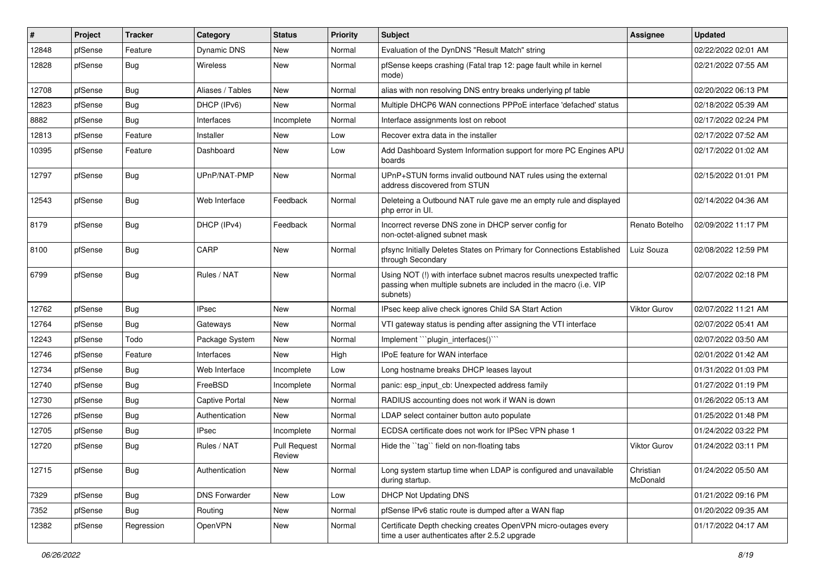| #     | Project | <b>Tracker</b> | Category             | <b>Status</b>                 | <b>Priority</b> | Subject                                                                                                                                                | <b>Assignee</b>       | <b>Updated</b>      |
|-------|---------|----------------|----------------------|-------------------------------|-----------------|--------------------------------------------------------------------------------------------------------------------------------------------------------|-----------------------|---------------------|
| 12848 | pfSense | Feature        | Dynamic DNS          | New                           | Normal          | Evaluation of the DynDNS "Result Match" string                                                                                                         |                       | 02/22/2022 02:01 AM |
| 12828 | pfSense | <b>Bug</b>     | Wireless             | New                           | Normal          | pfSense keeps crashing (Fatal trap 12: page fault while in kernel<br>mode)                                                                             |                       | 02/21/2022 07:55 AM |
| 12708 | pfSense | Bug            | Aliases / Tables     | New                           | Normal          | alias with non resolving DNS entry breaks underlying pf table                                                                                          |                       | 02/20/2022 06:13 PM |
| 12823 | pfSense | <b>Bug</b>     | DHCP (IPv6)          | New                           | Normal          | Multiple DHCP6 WAN connections PPPoE interface 'defached' status                                                                                       |                       | 02/18/2022 05:39 AM |
| 8882  | pfSense | <b>Bug</b>     | Interfaces           | Incomplete                    | Normal          | Interface assignments lost on reboot                                                                                                                   |                       | 02/17/2022 02:24 PM |
| 12813 | pfSense | Feature        | Installer            | New                           | Low             | Recover extra data in the installer                                                                                                                    |                       | 02/17/2022 07:52 AM |
| 10395 | pfSense | Feature        | Dashboard            | New                           | Low             | Add Dashboard System Information support for more PC Engines APU<br>boards                                                                             |                       | 02/17/2022 01:02 AM |
| 12797 | pfSense | <b>Bug</b>     | UPnP/NAT-PMP         | New                           | Normal          | UPnP+STUN forms invalid outbound NAT rules using the external<br>address discovered from STUN                                                          |                       | 02/15/2022 01:01 PM |
| 12543 | pfSense | <b>Bug</b>     | Web Interface        | Feedback                      | Normal          | Deleteing a Outbound NAT rule gave me an empty rule and displayed<br>php error in UI.                                                                  |                       | 02/14/2022 04:36 AM |
| 8179  | pfSense | <b>Bug</b>     | DHCP (IPv4)          | Feedback                      | Normal          | Incorrect reverse DNS zone in DHCP server config for<br>non-octet-aligned subnet mask                                                                  | Renato Botelho        | 02/09/2022 11:17 PM |
| 8100  | pfSense | <b>Bug</b>     | CARP                 | New                           | Normal          | pfsync Initially Deletes States on Primary for Connections Established<br>through Secondary                                                            | Luiz Souza            | 02/08/2022 12:59 PM |
| 6799  | pfSense | <b>Bug</b>     | Rules / NAT          | New                           | Normal          | Using NOT (!) with interface subnet macros results unexpected traffic<br>passing when multiple subnets are included in the macro (i.e. VIP<br>subnets) |                       | 02/07/2022 02:18 PM |
| 12762 | pfSense | Bug            | <b>IPsec</b>         | New                           | Normal          | IPsec keep alive check ignores Child SA Start Action                                                                                                   | Viktor Gurov          | 02/07/2022 11:21 AM |
| 12764 | pfSense | <b>Bug</b>     | Gateways             | <b>New</b>                    | Normal          | VTI gateway status is pending after assigning the VTI interface                                                                                        |                       | 02/07/2022 05:41 AM |
| 12243 | pfSense | Todo           | Package System       | New                           | Normal          | Implement "plugin interfaces()"                                                                                                                        |                       | 02/07/2022 03:50 AM |
| 12746 | pfSense | Feature        | Interfaces           | <b>New</b>                    | High            | IPoE feature for WAN interface                                                                                                                         |                       | 02/01/2022 01:42 AM |
| 12734 | pfSense | <b>Bug</b>     | Web Interface        | Incomplete                    | Low             | Long hostname breaks DHCP leases layout                                                                                                                |                       | 01/31/2022 01:03 PM |
| 12740 | pfSense | Bug            | FreeBSD              | Incomplete                    | Normal          | panic: esp input cb: Unexpected address family                                                                                                         |                       | 01/27/2022 01:19 PM |
| 12730 | pfSense | <b>Bug</b>     | Captive Portal       | <b>New</b>                    | Normal          | RADIUS accounting does not work if WAN is down                                                                                                         |                       | 01/26/2022 05:13 AM |
| 12726 | pfSense | <b>Bug</b>     | Authentication       | New                           | Normal          | LDAP select container button auto populate                                                                                                             |                       | 01/25/2022 01:48 PM |
| 12705 | pfSense | <b>Bug</b>     | <b>IPsec</b>         | Incomplete                    | Normal          | ECDSA certificate does not work for IPSec VPN phase 1                                                                                                  |                       | 01/24/2022 03:22 PM |
| 12720 | pfSense | <b>Bug</b>     | Rules / NAT          | <b>Pull Request</b><br>Review | Normal          | Hide the "tag" field on non-floating tabs                                                                                                              | <b>Viktor Gurov</b>   | 01/24/2022 03:11 PM |
| 12715 | pfSense | <b>Bug</b>     | Authentication       | New                           | Normal          | Long system startup time when LDAP is configured and unavailable<br>during startup.                                                                    | Christian<br>McDonald | 01/24/2022 05:50 AM |
| 7329  | pfSense | Bug            | <b>DNS Forwarder</b> | New                           | Low             | <b>DHCP Not Updating DNS</b>                                                                                                                           |                       | 01/21/2022 09:16 PM |
| 7352  | pfSense | <b>Bug</b>     | Routing              | New                           | Normal          | pfSense IPv6 static route is dumped after a WAN flap                                                                                                   |                       | 01/20/2022 09:35 AM |
| 12382 | pfSense | Regression     | OpenVPN              | New                           | Normal          | Certificate Depth checking creates OpenVPN micro-outages every<br>time a user authenticates after 2.5.2 upgrade                                        |                       | 01/17/2022 04:17 AM |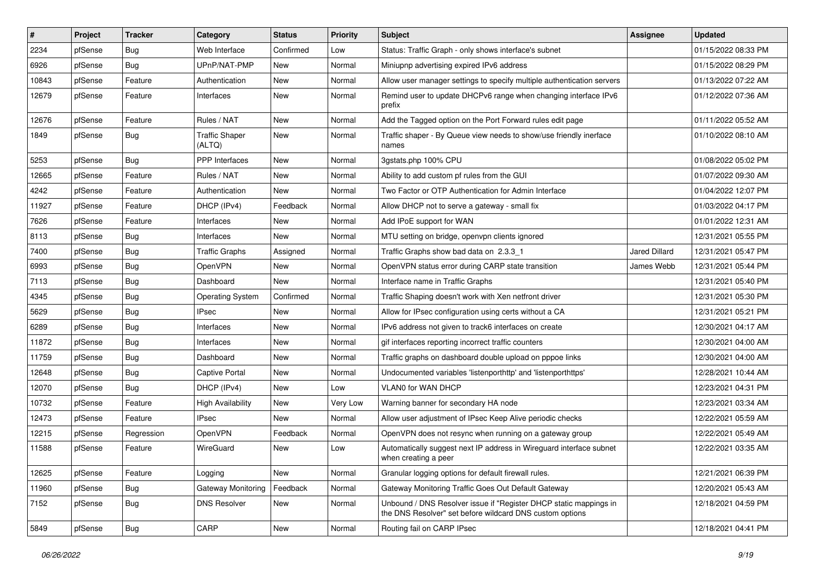| #     | Project | <b>Tracker</b> | Category                        | <b>Status</b> | <b>Priority</b> | Subject                                                                                                                       | <b>Assignee</b> | <b>Updated</b>      |
|-------|---------|----------------|---------------------------------|---------------|-----------------|-------------------------------------------------------------------------------------------------------------------------------|-----------------|---------------------|
| 2234  | pfSense | <b>Bug</b>     | Web Interface                   | Confirmed     | Low             | Status: Traffic Graph - only shows interface's subnet                                                                         |                 | 01/15/2022 08:33 PM |
| 6926  | pfSense | <b>Bug</b>     | UPnP/NAT-PMP                    | <b>New</b>    | Normal          | Miniupnp advertising expired IPv6 address                                                                                     |                 | 01/15/2022 08:29 PM |
| 10843 | pfSense | Feature        | Authentication                  | New           | Normal          | Allow user manager settings to specify multiple authentication servers                                                        |                 | 01/13/2022 07:22 AM |
| 12679 | pfSense | Feature        | Interfaces                      | New           | Normal          | Remind user to update DHCPv6 range when changing interface IPv6<br>prefix                                                     |                 | 01/12/2022 07:36 AM |
| 12676 | pfSense | Feature        | Rules / NAT                     | New           | Normal          | Add the Tagged option on the Port Forward rules edit page                                                                     |                 | 01/11/2022 05:52 AM |
| 1849  | pfSense | Bug            | <b>Traffic Shaper</b><br>(ALTQ) | New           | Normal          | Traffic shaper - By Queue view needs to show/use friendly inerface<br>names                                                   |                 | 01/10/2022 08:10 AM |
| 5253  | pfSense | Bug            | <b>PPP</b> Interfaces           | New           | Normal          | 3qstats.php 100% CPU                                                                                                          |                 | 01/08/2022 05:02 PM |
| 12665 | pfSense | Feature        | Rules / NAT                     | New           | Normal          | Ability to add custom pf rules from the GUI                                                                                   |                 | 01/07/2022 09:30 AM |
| 4242  | pfSense | Feature        | Authentication                  | New           | Normal          | Two Factor or OTP Authentication for Admin Interface                                                                          |                 | 01/04/2022 12:07 PM |
| 11927 | pfSense | Feature        | DHCP (IPv4)                     | Feedback      | Normal          | Allow DHCP not to serve a gateway - small fix                                                                                 |                 | 01/03/2022 04:17 PM |
| 7626  | pfSense | Feature        | Interfaces                      | New           | Normal          | Add IPoE support for WAN                                                                                                      |                 | 01/01/2022 12:31 AM |
| 8113  | pfSense | <b>Bug</b>     | Interfaces                      | New           | Normal          | MTU setting on bridge, openvpn clients ignored                                                                                |                 | 12/31/2021 05:55 PM |
| 7400  | pfSense | Bug            | <b>Traffic Graphs</b>           | Assigned      | Normal          | Traffic Graphs show bad data on 2.3.3 1                                                                                       | Jared Dillard   | 12/31/2021 05:47 PM |
| 6993  | pfSense | <b>Bug</b>     | <b>OpenVPN</b>                  | New           | Normal          | OpenVPN status error during CARP state transition                                                                             | James Webb      | 12/31/2021 05:44 PM |
| 7113  | pfSense | <b>Bug</b>     | Dashboard                       | <b>New</b>    | Normal          | Interface name in Traffic Graphs                                                                                              |                 | 12/31/2021 05:40 PM |
| 4345  | pfSense | <b>Bug</b>     | <b>Operating System</b>         | Confirmed     | Normal          | Traffic Shaping doesn't work with Xen netfront driver                                                                         |                 | 12/31/2021 05:30 PM |
| 5629  | pfSense | <b>Bug</b>     | <b>IPsec</b>                    | New           | Normal          | Allow for IPsec configuration using certs without a CA                                                                        |                 | 12/31/2021 05:21 PM |
| 6289  | pfSense | <b>Bug</b>     | Interfaces                      | New           | Normal          | IPv6 address not given to track6 interfaces on create                                                                         |                 | 12/30/2021 04:17 AM |
| 11872 | pfSense | Bug            | Interfaces                      | <b>New</b>    | Normal          | gif interfaces reporting incorrect traffic counters                                                                           |                 | 12/30/2021 04:00 AM |
| 11759 | pfSense | Bug            | Dashboard                       | New           | Normal          | Traffic graphs on dashboard double upload on pppoe links                                                                      |                 | 12/30/2021 04:00 AM |
| 12648 | pfSense | Bug            | Captive Portal                  | New           | Normal          | Undocumented variables 'listenporthttp' and 'listenporthttps'                                                                 |                 | 12/28/2021 10:44 AM |
| 12070 | pfSense | <b>Bug</b>     | DHCP (IPv4)                     | New           | Low             | VLAN0 for WAN DHCP                                                                                                            |                 | 12/23/2021 04:31 PM |
| 10732 | pfSense | Feature        | <b>High Availability</b>        | New           | Very Low        | Warning banner for secondary HA node                                                                                          |                 | 12/23/2021 03:34 AM |
| 12473 | pfSense | Feature        | <b>IPsec</b>                    | New           | Normal          | Allow user adjustment of IPsec Keep Alive periodic checks                                                                     |                 | 12/22/2021 05:59 AM |
| 12215 | pfSense | Regression     | OpenVPN                         | Feedback      | Normal          | OpenVPN does not resync when running on a gateway group                                                                       |                 | 12/22/2021 05:49 AM |
| 11588 | pfSense | Feature        | WireGuard                       | <b>New</b>    | Low             | Automatically suggest next IP address in Wireguard interface subnet<br>when creating a peer                                   |                 | 12/22/2021 03:35 AM |
| 12625 | pfSense | Feature        | Logging                         | New           | Normal          | Granular logging options for default firewall rules.                                                                          |                 | 12/21/2021 06:39 PM |
| 11960 | pfSense | <b>Bug</b>     | Gateway Monitoring              | Feedback      | Normal          | Gateway Monitoring Traffic Goes Out Default Gateway                                                                           |                 | 12/20/2021 05:43 AM |
| 7152  | pfSense | Bug            | <b>DNS Resolver</b>             | New           | Normal          | Unbound / DNS Resolver issue if "Register DHCP static mappings in<br>the DNS Resolver" set before wildcard DNS custom options |                 | 12/18/2021 04:59 PM |
| 5849  | pfSense | <b>Bug</b>     | CARP                            | New           | Normal          | Routing fail on CARP IPsec                                                                                                    |                 | 12/18/2021 04:41 PM |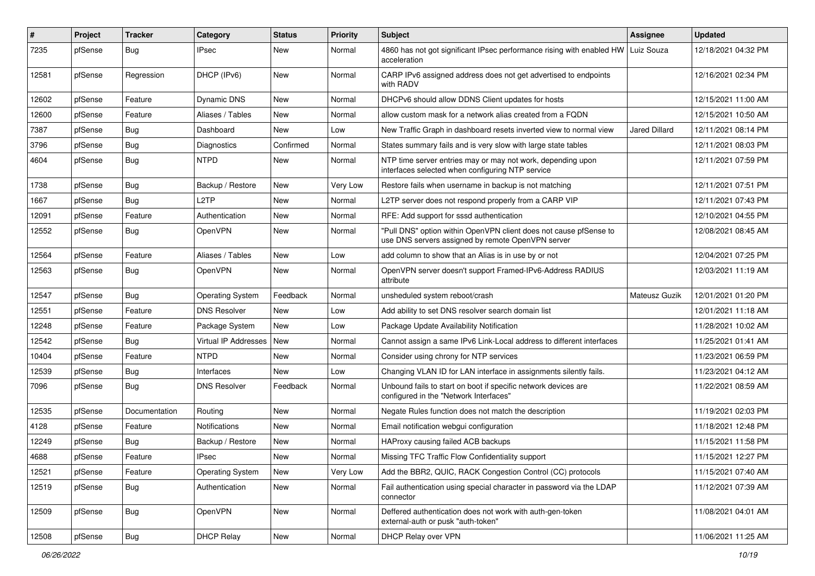| $\#$  | Project | <b>Tracker</b> | Category                | <b>Status</b> | <b>Priority</b> | Subject                                                                                                                | <b>Assignee</b>      | <b>Updated</b>      |
|-------|---------|----------------|-------------------------|---------------|-----------------|------------------------------------------------------------------------------------------------------------------------|----------------------|---------------------|
| 7235  | pfSense | <b>Bug</b>     | <b>IPsec</b>            | New           | Normal          | 4860 has not got significant IPsec performance rising with enabled HW   Luiz Souza<br>acceleration                     |                      | 12/18/2021 04:32 PM |
| 12581 | pfSense | Regression     | DHCP (IPv6)             | New           | Normal          | CARP IPv6 assigned address does not get advertised to endpoints<br>with RADV                                           |                      | 12/16/2021 02:34 PM |
| 12602 | pfSense | Feature        | <b>Dynamic DNS</b>      | New           | Normal          | DHCPv6 should allow DDNS Client updates for hosts                                                                      |                      | 12/15/2021 11:00 AM |
| 12600 | pfSense | Feature        | Aliases / Tables        | <b>New</b>    | Normal          | allow custom mask for a network alias created from a FQDN                                                              |                      | 12/15/2021 10:50 AM |
| 7387  | pfSense | Bug            | Dashboard               | New           | Low             | New Traffic Graph in dashboard resets inverted view to normal view                                                     | Jared Dillard        | 12/11/2021 08:14 PM |
| 3796  | pfSense | <b>Bug</b>     | <b>Diagnostics</b>      | Confirmed     | Normal          | States summary fails and is very slow with large state tables                                                          |                      | 12/11/2021 08:03 PM |
| 4604  | pfSense | <b>Bug</b>     | <b>NTPD</b>             | New           | Normal          | NTP time server entries may or may not work, depending upon<br>interfaces selected when configuring NTP service        |                      | 12/11/2021 07:59 PM |
| 1738  | pfSense | Bug            | Backup / Restore        | New           | Very Low        | Restore fails when username in backup is not matching                                                                  |                      | 12/11/2021 07:51 PM |
| 1667  | pfSense | <b>Bug</b>     | L2TP                    | <b>New</b>    | Normal          | L2TP server does not respond properly from a CARP VIP                                                                  |                      | 12/11/2021 07:43 PM |
| 12091 | pfSense | Feature        | Authentication          | New           | Normal          | RFE: Add support for sssd authentication                                                                               |                      | 12/10/2021 04:55 PM |
| 12552 | pfSense | <b>Bug</b>     | OpenVPN                 | <b>New</b>    | Normal          | "Pull DNS" option within OpenVPN client does not cause pfSense to<br>use DNS servers assigned by remote OpenVPN server |                      | 12/08/2021 08:45 AM |
| 12564 | pfSense | Feature        | Aliases / Tables        | <b>New</b>    | Low             | add column to show that an Alias is in use by or not                                                                   |                      | 12/04/2021 07:25 PM |
| 12563 | pfSense | <b>Bug</b>     | OpenVPN                 | New           | Normal          | OpenVPN server doesn't support Framed-IPv6-Address RADIUS<br>attribute                                                 |                      | 12/03/2021 11:19 AM |
| 12547 | pfSense | <b>Bug</b>     | <b>Operating System</b> | Feedback      | Normal          | unsheduled system reboot/crash                                                                                         | <b>Mateusz Guzik</b> | 12/01/2021 01:20 PM |
| 12551 | pfSense | Feature        | <b>DNS Resolver</b>     | <b>New</b>    | Low             | Add ability to set DNS resolver search domain list                                                                     |                      | 12/01/2021 11:18 AM |
| 12248 | pfSense | Feature        | Package System          | <b>New</b>    | Low             | Package Update Availability Notification                                                                               |                      | 11/28/2021 10:02 AM |
| 12542 | pfSense | <b>Bug</b>     | Virtual IP Addresses    | New           | Normal          | Cannot assign a same IPv6 Link-Local address to different interfaces                                                   |                      | 11/25/2021 01:41 AM |
| 10404 | pfSense | Feature        | <b>NTPD</b>             | New           | Normal          | Consider using chrony for NTP services                                                                                 |                      | 11/23/2021 06:59 PM |
| 12539 | pfSense | <b>Bug</b>     | Interfaces              | <b>New</b>    | Low             | Changing VLAN ID for LAN interface in assignments silently fails.                                                      |                      | 11/23/2021 04:12 AM |
| 7096  | pfSense | <b>Bug</b>     | <b>DNS Resolver</b>     | Feedback      | Normal          | Unbound fails to start on boot if specific network devices are<br>configured in the "Network Interfaces"               |                      | 11/22/2021 08:59 AM |
| 12535 | pfSense | Documentation  | Routing                 | New           | Normal          | Negate Rules function does not match the description                                                                   |                      | 11/19/2021 02:03 PM |
| 4128  | pfSense | Feature        | <b>Notifications</b>    | New           | Normal          | Email notification webqui configuration                                                                                |                      | 11/18/2021 12:48 PM |
| 12249 | pfSense | <b>Bug</b>     | Backup / Restore        | New           | Normal          | HAProxy causing failed ACB backups                                                                                     |                      | 11/15/2021 11:58 PM |
| 4688  | pfSense | Feature        | <b>IPsec</b>            | New           | Normal          | Missing TFC Traffic Flow Confidentiality support                                                                       |                      | 11/15/2021 12:27 PM |
| 12521 | pfSense | Feature        | <b>Operating System</b> | New           | Very Low        | Add the BBR2, QUIC, RACK Congestion Control (CC) protocols                                                             |                      | 11/15/2021 07:40 AM |
| 12519 | pfSense | <b>Bug</b>     | Authentication          | New           | Normal          | Fail authentication using special character in password via the LDAP<br>connector                                      |                      | 11/12/2021 07:39 AM |
| 12509 | pfSense | <b>Bug</b>     | OpenVPN                 | New           | Normal          | Deffered authentication does not work with auth-gen-token<br>external-auth or pusk "auth-token"                        |                      | 11/08/2021 04:01 AM |
| 12508 | pfSense | Bug            | <b>DHCP Relay</b>       | New           | Normal          | DHCP Relay over VPN                                                                                                    |                      | 11/06/2021 11:25 AM |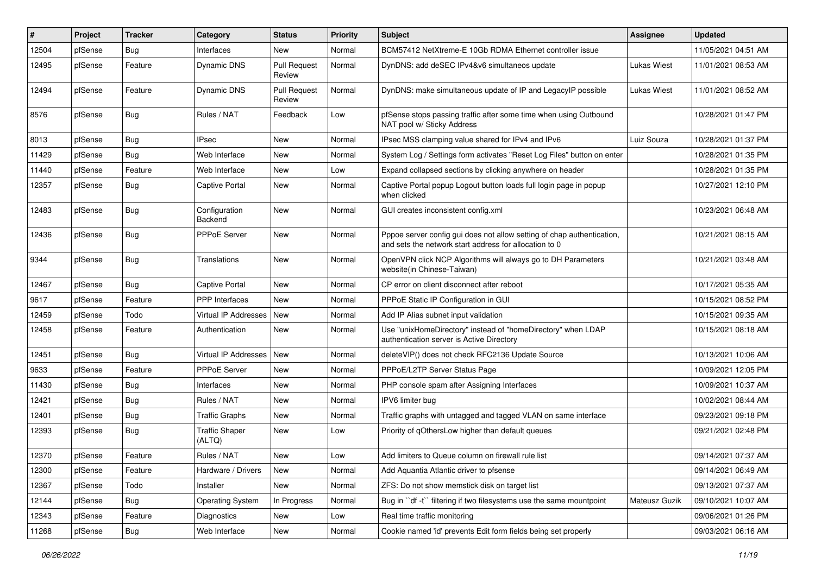| #     | Project | <b>Tracker</b> | Category                        | <b>Status</b>                 | <b>Priority</b> | Subject                                                                                                                          | <b>Assignee</b> | <b>Updated</b>      |
|-------|---------|----------------|---------------------------------|-------------------------------|-----------------|----------------------------------------------------------------------------------------------------------------------------------|-----------------|---------------------|
| 12504 | pfSense | <b>Bug</b>     | Interfaces                      | New                           | Normal          | BCM57412 NetXtreme-E 10Gb RDMA Ethernet controller issue                                                                         |                 | 11/05/2021 04:51 AM |
| 12495 | pfSense | Feature        | Dynamic DNS                     | <b>Pull Request</b><br>Review | Normal          | DynDNS: add deSEC IPv4&v6 simultaneos update                                                                                     | Lukas Wiest     | 11/01/2021 08:53 AM |
| 12494 | pfSense | Feature        | Dynamic DNS                     | <b>Pull Request</b><br>Review | Normal          | DynDNS: make simultaneous update of IP and LegacyIP possible                                                                     | Lukas Wiest     | 11/01/2021 08:52 AM |
| 8576  | pfSense | <b>Bug</b>     | Rules / NAT                     | Feedback                      | Low             | pfSense stops passing traffic after some time when using Outbound<br>NAT pool w/ Sticky Address                                  |                 | 10/28/2021 01:47 PM |
| 8013  | pfSense | Bug            | <b>IPsec</b>                    | New                           | Normal          | IPsec MSS clamping value shared for IPv4 and IPv6                                                                                | Luiz Souza      | 10/28/2021 01:37 PM |
| 11429 | pfSense | Bug            | Web Interface                   | <b>New</b>                    | Normal          | System Log / Settings form activates "Reset Log Files" button on enter                                                           |                 | 10/28/2021 01:35 PM |
| 11440 | pfSense | Feature        | Web Interface                   | New                           | Low             | Expand collapsed sections by clicking anywhere on header                                                                         |                 | 10/28/2021 01:35 PM |
| 12357 | pfSense | <b>Bug</b>     | <b>Captive Portal</b>           | New                           | Normal          | Captive Portal popup Logout button loads full login page in popup<br>when clicked                                                |                 | 10/27/2021 12:10 PM |
| 12483 | pfSense | <b>Bug</b>     | Configuration<br>Backend        | <b>New</b>                    | Normal          | GUI creates inconsistent config.xml                                                                                              |                 | 10/23/2021 06:48 AM |
| 12436 | pfSense | <b>Bug</b>     | PPPoE Server                    | New                           | Normal          | Pppoe server config gui does not allow setting of chap authentication,<br>and sets the network start address for allocation to 0 |                 | 10/21/2021 08:15 AM |
| 9344  | pfSense | <b>Bug</b>     | Translations                    | New                           | Normal          | OpenVPN click NCP Algorithms will always go to DH Parameters<br>website(in Chinese-Taiwan)                                       |                 | 10/21/2021 03:48 AM |
| 12467 | pfSense | <b>Bug</b>     | <b>Captive Portal</b>           | <b>New</b>                    | Normal          | CP error on client disconnect after reboot                                                                                       |                 | 10/17/2021 05:35 AM |
| 9617  | pfSense | Feature        | <b>PPP</b> Interfaces           | New                           | Normal          | PPPoE Static IP Configuration in GUI                                                                                             |                 | 10/15/2021 08:52 PM |
| 12459 | pfSense | Todo           | Virtual IP Addresses            | New                           | Normal          | Add IP Alias subnet input validation                                                                                             |                 | 10/15/2021 09:35 AM |
| 12458 | pfSense | Feature        | Authentication                  | New                           | Normal          | Use "unixHomeDirectory" instead of "homeDirectory" when LDAP<br>authentication server is Active Directory                        |                 | 10/15/2021 08:18 AM |
| 12451 | pfSense | Bug            | Virtual IP Addresses   New      |                               | Normal          | deleteVIP() does not check RFC2136 Update Source                                                                                 |                 | 10/13/2021 10:06 AM |
| 9633  | pfSense | Feature        | <b>PPPoE Server</b>             | New                           | Normal          | PPPoE/L2TP Server Status Page                                                                                                    |                 | 10/09/2021 12:05 PM |
| 11430 | pfSense | <b>Bug</b>     | Interfaces                      | New                           | Normal          | PHP console spam after Assigning Interfaces                                                                                      |                 | 10/09/2021 10:37 AM |
| 12421 | pfSense | <b>Bug</b>     | Rules / NAT                     | New                           | Normal          | IPV6 limiter bug                                                                                                                 |                 | 10/02/2021 08:44 AM |
| 12401 | pfSense | <b>Bug</b>     | <b>Traffic Graphs</b>           | New                           | Normal          | Traffic graphs with untagged and tagged VLAN on same interface                                                                   |                 | 09/23/2021 09:18 PM |
| 12393 | pfSense | <b>Bug</b>     | <b>Traffic Shaper</b><br>(ALTQ) | New                           | Low             | Priority of qOthersLow higher than default queues                                                                                |                 | 09/21/2021 02:48 PM |
| 12370 | pfSense | Feature        | Rules / NAT                     | New                           | Low             | Add limiters to Queue column on firewall rule list                                                                               |                 | 09/14/2021 07:37 AM |
| 12300 | pfSense | Feature        | Hardware / Drivers              | New                           | Normal          | Add Aquantia Atlantic driver to pfsense                                                                                          |                 | 09/14/2021 06:49 AM |
| 12367 | pfSense | Todo           | Installer                       | New                           | Normal          | ZFS: Do not show memstick disk on target list                                                                                    |                 | 09/13/2021 07:37 AM |
| 12144 | pfSense | <b>Bug</b>     | <b>Operating System</b>         | In Progress                   | Normal          | Bug in "df -t" filtering if two filesystems use the same mountpoint                                                              | Mateusz Guzik   | 09/10/2021 10:07 AM |
| 12343 | pfSense | Feature        | Diagnostics                     | New                           | Low             | Real time traffic monitoring                                                                                                     |                 | 09/06/2021 01:26 PM |
| 11268 | pfSense | Bug            | Web Interface                   | New                           | Normal          | Cookie named 'id' prevents Edit form fields being set properly                                                                   |                 | 09/03/2021 06:16 AM |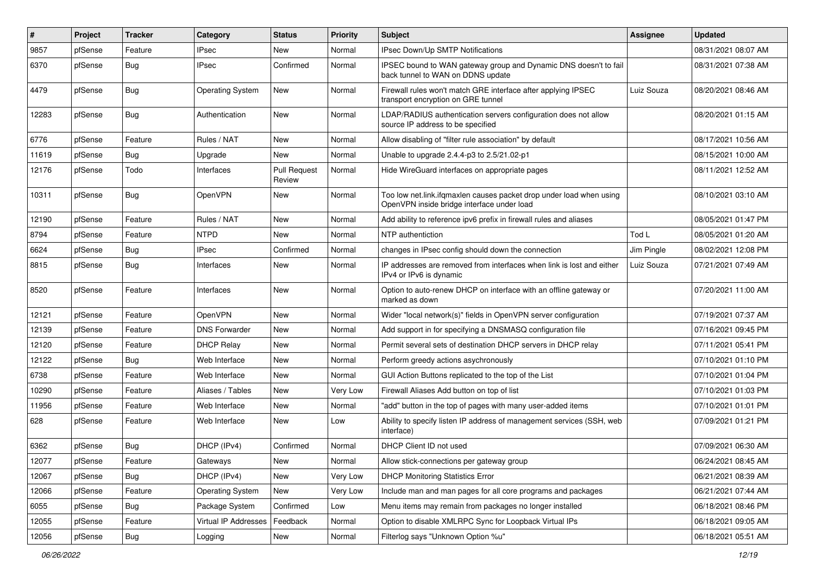| #     | Project | <b>Tracker</b> | Category                | <b>Status</b>                 | <b>Priority</b> | Subject                                                                                                           | <b>Assignee</b> | <b>Updated</b>      |
|-------|---------|----------------|-------------------------|-------------------------------|-----------------|-------------------------------------------------------------------------------------------------------------------|-----------------|---------------------|
| 9857  | pfSense | Feature        | IPsec                   | New                           | Normal          | IPsec Down/Up SMTP Notifications                                                                                  |                 | 08/31/2021 08:07 AM |
| 6370  | pfSense | <b>Bug</b>     | IPsec                   | Confirmed                     | Normal          | IPSEC bound to WAN gateway group and Dynamic DNS doesn't to fail<br>back tunnel to WAN on DDNS update             |                 | 08/31/2021 07:38 AM |
| 4479  | pfSense | <b>Bug</b>     | <b>Operating System</b> | New                           | Normal          | Firewall rules won't match GRE interface after applying IPSEC<br>transport encryption on GRE tunnel               | Luiz Souza      | 08/20/2021 08:46 AM |
| 12283 | pfSense | <b>Bug</b>     | Authentication          | New                           | Normal          | LDAP/RADIUS authentication servers configuration does not allow<br>source IP address to be specified              |                 | 08/20/2021 01:15 AM |
| 6776  | pfSense | Feature        | Rules / NAT             | New                           | Normal          | Allow disabling of "filter rule association" by default                                                           |                 | 08/17/2021 10:56 AM |
| 11619 | pfSense | <b>Bug</b>     | Upgrade                 | New                           | Normal          | Unable to upgrade 2.4.4-p3 to 2.5/21.02-p1                                                                        |                 | 08/15/2021 10:00 AM |
| 12176 | pfSense | Todo           | Interfaces              | <b>Pull Request</b><br>Review | Normal          | Hide WireGuard interfaces on appropriate pages                                                                    |                 | 08/11/2021 12:52 AM |
| 10311 | pfSense | <b>Bug</b>     | OpenVPN                 | <b>New</b>                    | Normal          | Too low net.link.ifqmaxlen causes packet drop under load when using<br>OpenVPN inside bridge interface under load |                 | 08/10/2021 03:10 AM |
| 12190 | pfSense | Feature        | Rules / NAT             | New                           | Normal          | Add ability to reference ipv6 prefix in firewall rules and aliases                                                |                 | 08/05/2021 01:47 PM |
| 8794  | pfSense | Feature        | <b>NTPD</b>             | New                           | Normal          | NTP authentiction                                                                                                 | Tod L           | 08/05/2021 01:20 AM |
| 6624  | pfSense | <b>Bug</b>     | <b>IPsec</b>            | Confirmed                     | Normal          | changes in IPsec config should down the connection                                                                | Jim Pingle      | 08/02/2021 12:08 PM |
| 8815  | pfSense | <b>Bug</b>     | Interfaces              | New                           | Normal          | IP addresses are removed from interfaces when link is lost and either<br>IPv4 or IPv6 is dynamic                  | Luiz Souza      | 07/21/2021 07:49 AM |
| 8520  | pfSense | Feature        | Interfaces              | <b>New</b>                    | Normal          | Option to auto-renew DHCP on interface with an offline gateway or<br>marked as down                               |                 | 07/20/2021 11:00 AM |
| 12121 | pfSense | Feature        | OpenVPN                 | New                           | Normal          | Wider "local network(s)" fields in OpenVPN server configuration                                                   |                 | 07/19/2021 07:37 AM |
| 12139 | pfSense | Feature        | <b>DNS Forwarder</b>    | New                           | Normal          | Add support in for specifying a DNSMASQ configuration file                                                        |                 | 07/16/2021 09:45 PM |
| 12120 | pfSense | Feature        | <b>DHCP Relay</b>       | New                           | Normal          | Permit several sets of destination DHCP servers in DHCP relay                                                     |                 | 07/11/2021 05:41 PM |
| 12122 | pfSense | <b>Bug</b>     | Web Interface           | New                           | Normal          | Perform greedy actions asychronously                                                                              |                 | 07/10/2021 01:10 PM |
| 6738  | pfSense | Feature        | Web Interface           | New                           | Normal          | GUI Action Buttons replicated to the top of the List                                                              |                 | 07/10/2021 01:04 PM |
| 10290 | pfSense | Feature        | Aliases / Tables        | New                           | Very Low        | Firewall Aliases Add button on top of list                                                                        |                 | 07/10/2021 01:03 PM |
| 11956 | pfSense | Feature        | Web Interface           | New                           | Normal          | "add" button in the top of pages with many user-added items                                                       |                 | 07/10/2021 01:01 PM |
| 628   | pfSense | Feature        | Web Interface           | New                           | Low             | Ability to specify listen IP address of management services (SSH, web<br>interface)                               |                 | 07/09/2021 01:21 PM |
| 6362  | pfSense | <b>Bug</b>     | DHCP (IPv4)             | Confirmed                     | Normal          | DHCP Client ID not used                                                                                           |                 | 07/09/2021 06:30 AM |
| 12077 | pfSense | Feature        | Gateways                | New                           | Normal          | Allow stick-connections per gateway group                                                                         |                 | 06/24/2021 08:45 AM |
| 12067 | pfSense | <b>Bug</b>     | DHCP (IPv4)             | New                           | Very Low        | <b>DHCP Monitoring Statistics Error</b>                                                                           |                 | 06/21/2021 08:39 AM |
| 12066 | pfSense | Feature        | <b>Operating System</b> | New                           | Very Low        | Include man and man pages for all core programs and packages                                                      |                 | 06/21/2021 07:44 AM |
| 6055  | pfSense | <b>Bug</b>     | Package System          | Confirmed                     | Low             | Menu items may remain from packages no longer installed                                                           |                 | 06/18/2021 08:46 PM |
| 12055 | pfSense | Feature        | Virtual IP Addresses    | Feedback                      | Normal          | Option to disable XMLRPC Sync for Loopback Virtual IPs                                                            |                 | 06/18/2021 09:05 AM |
| 12056 | pfSense | Bug            | Logging                 | New                           | Normal          | Filterlog says "Unknown Option %u"                                                                                |                 | 06/18/2021 05:51 AM |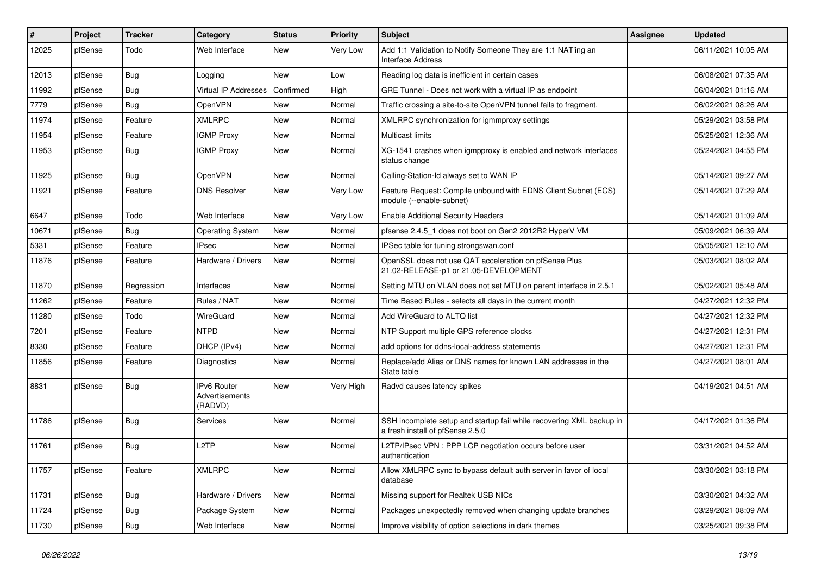| #     | Project | <b>Tracker</b> | Category                                 | <b>Status</b> | <b>Priority</b> | Subject                                                                                                  | <b>Assignee</b> | <b>Updated</b>      |
|-------|---------|----------------|------------------------------------------|---------------|-----------------|----------------------------------------------------------------------------------------------------------|-----------------|---------------------|
| 12025 | pfSense | Todo           | Web Interface                            | New           | Very Low        | Add 1:1 Validation to Notify Someone They are 1:1 NAT'ing an<br>Interface Address                        |                 | 06/11/2021 10:05 AM |
| 12013 | pfSense | <b>Bug</b>     | Logging                                  | New           | Low             | Reading log data is inefficient in certain cases                                                         |                 | 06/08/2021 07:35 AM |
| 11992 | pfSense | <b>Bug</b>     | Virtual IP Addresses                     | Confirmed     | High            | GRE Tunnel - Does not work with a virtual IP as endpoint                                                 |                 | 06/04/2021 01:16 AM |
| 7779  | pfSense | Bug            | OpenVPN                                  | New           | Normal          | Traffic crossing a site-to-site OpenVPN tunnel fails to fragment.                                        |                 | 06/02/2021 08:26 AM |
| 11974 | pfSense | Feature        | <b>XMLRPC</b>                            | <b>New</b>    | Normal          | XMLRPC synchronization for igmmproxy settings                                                            |                 | 05/29/2021 03:58 PM |
| 11954 | pfSense | Feature        | <b>IGMP Proxy</b>                        | New           | Normal          | Multicast limits                                                                                         |                 | 05/25/2021 12:36 AM |
| 11953 | pfSense | <b>Bug</b>     | <b>IGMP Proxy</b>                        | New           | Normal          | XG-1541 crashes when igmpproxy is enabled and network interfaces<br>status change                        |                 | 05/24/2021 04:55 PM |
| 11925 | pfSense | Bug            | OpenVPN                                  | <b>New</b>    | Normal          | Calling-Station-Id always set to WAN IP                                                                  |                 | 05/14/2021 09:27 AM |
| 11921 | pfSense | Feature        | <b>DNS Resolver</b>                      | New           | Very Low        | Feature Request: Compile unbound with EDNS Client Subnet (ECS)<br>module (--enable-subnet)               |                 | 05/14/2021 07:29 AM |
| 6647  | pfSense | Todo           | Web Interface                            | New           | Very Low        | <b>Enable Additional Security Headers</b>                                                                |                 | 05/14/2021 01:09 AM |
| 10671 | pfSense | <b>Bug</b>     | <b>Operating System</b>                  | New           | Normal          | pfsense 2.4.5 1 does not boot on Gen2 2012R2 HyperV VM                                                   |                 | 05/09/2021 06:39 AM |
| 5331  | pfSense | Feature        | <b>IPsec</b>                             | New           | Normal          | IPSec table for tuning strongswan.conf                                                                   |                 | 05/05/2021 12:10 AM |
| 11876 | pfSense | Feature        | Hardware / Drivers                       | New           | Normal          | OpenSSL does not use QAT acceleration on pfSense Plus<br>21.02-RELEASE-p1 or 21.05-DEVELOPMENT           |                 | 05/03/2021 08:02 AM |
| 11870 | pfSense | Regression     | Interfaces                               | <b>New</b>    | Normal          | Setting MTU on VLAN does not set MTU on parent interface in 2.5.1                                        |                 | 05/02/2021 05:48 AM |
| 11262 | pfSense | Feature        | Rules / NAT                              | New           | Normal          | Time Based Rules - selects all days in the current month                                                 |                 | 04/27/2021 12:32 PM |
| 11280 | pfSense | Todo           | WireGuard                                | New           | Normal          | Add WireGuard to ALTQ list                                                                               |                 | 04/27/2021 12:32 PM |
| 7201  | pfSense | Feature        | <b>NTPD</b>                              | New           | Normal          | NTP Support multiple GPS reference clocks                                                                |                 | 04/27/2021 12:31 PM |
| 8330  | pfSense | Feature        | DHCP (IPv4)                              | New           | Normal          | add options for ddns-local-address statements                                                            |                 | 04/27/2021 12:31 PM |
| 11856 | pfSense | Feature        | Diagnostics                              | New           | Normal          | Replace/add Alias or DNS names for known LAN addresses in the<br>State table                             |                 | 04/27/2021 08:01 AM |
| 8831  | pfSense | <b>Bug</b>     | IPv6 Router<br>Advertisements<br>(RADVD) | New           | Very High       | Radvd causes latency spikes                                                                              |                 | 04/19/2021 04:51 AM |
| 11786 | pfSense | <b>Bug</b>     | Services                                 | New           | Normal          | SSH incomplete setup and startup fail while recovering XML backup in<br>a fresh install of pfSense 2.5.0 |                 | 04/17/2021 01:36 PM |
| 11761 | pfSense | <b>Bug</b>     | L <sub>2</sub> TP                        | New           | Normal          | L2TP/IPsec VPN : PPP LCP negotiation occurs before user<br>authentication                                |                 | 03/31/2021 04:52 AM |
| 11757 | pfSense | Feature        | <b>XMLRPC</b>                            | New           | Normal          | Allow XMLRPC sync to bypass default auth server in favor of local<br>database                            |                 | 03/30/2021 03:18 PM |
| 11731 | pfSense | <b>Bug</b>     | Hardware / Drivers                       | New           | Normal          | Missing support for Realtek USB NICs                                                                     |                 | 03/30/2021 04:32 AM |
| 11724 | pfSense | <b>Bug</b>     | Package System                           | New           | Normal          | Packages unexpectedly removed when changing update branches                                              |                 | 03/29/2021 08:09 AM |
| 11730 | pfSense | Bug            | Web Interface                            | New           | Normal          | Improve visibility of option selections in dark themes                                                   |                 | 03/25/2021 09:38 PM |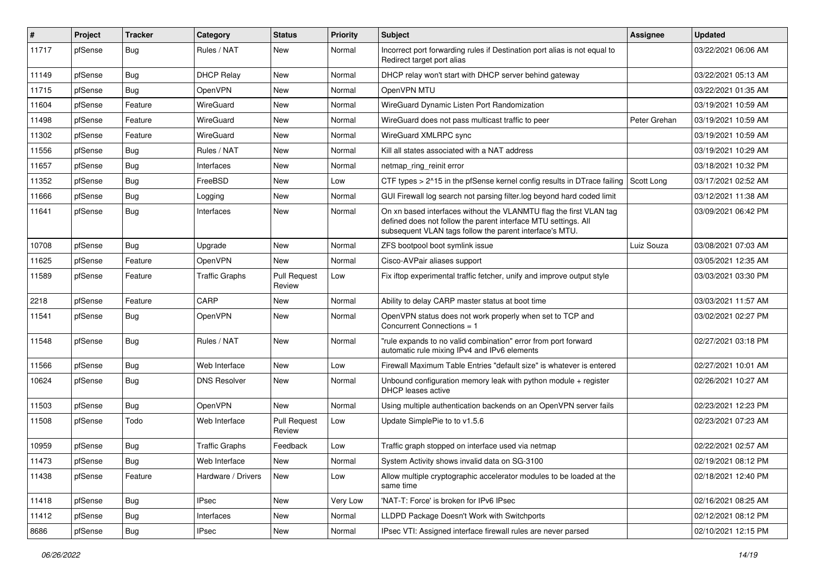| #     | Project | <b>Tracker</b> | Category              | <b>Status</b>                 | <b>Priority</b> | Subject                                                                                                                                                                                         | <b>Assignee</b> | <b>Updated</b>      |
|-------|---------|----------------|-----------------------|-------------------------------|-----------------|-------------------------------------------------------------------------------------------------------------------------------------------------------------------------------------------------|-----------------|---------------------|
| 11717 | pfSense | <b>Bug</b>     | Rules / NAT           | New                           | Normal          | Incorrect port forwarding rules if Destination port alias is not equal to<br>Redirect target port alias                                                                                         |                 | 03/22/2021 06:06 AM |
| 11149 | pfSense | Bug            | <b>DHCP Relay</b>     | New                           | Normal          | DHCP relay won't start with DHCP server behind gateway                                                                                                                                          |                 | 03/22/2021 05:13 AM |
| 11715 | pfSense | <b>Bug</b>     | OpenVPN               | New                           | Normal          | OpenVPN MTU                                                                                                                                                                                     |                 | 03/22/2021 01:35 AM |
| 11604 | pfSense | Feature        | WireGuard             | New                           | Normal          | WireGuard Dynamic Listen Port Randomization                                                                                                                                                     |                 | 03/19/2021 10:59 AM |
| 11498 | pfSense | Feature        | WireGuard             | New                           | Normal          | WireGuard does not pass multicast traffic to peer                                                                                                                                               | Peter Grehan    | 03/19/2021 10:59 AM |
| 11302 | pfSense | Feature        | WireGuard             | New                           | Normal          | WireGuard XMLRPC sync                                                                                                                                                                           |                 | 03/19/2021 10:59 AM |
| 11556 | pfSense | Bug            | Rules / NAT           | New                           | Normal          | Kill all states associated with a NAT address                                                                                                                                                   |                 | 03/19/2021 10:29 AM |
| 11657 | pfSense | <b>Bug</b>     | Interfaces            | New                           | Normal          | netmap_ring_reinit error                                                                                                                                                                        |                 | 03/18/2021 10:32 PM |
| 11352 | pfSense | <b>Bug</b>     | FreeBSD               | New                           | Low             | CTF types $> 215$ in the pfSense kernel config results in DTrace failing                                                                                                                        | Scott Long      | 03/17/2021 02:52 AM |
| 11666 | pfSense | Bug            | Logging               | New                           | Normal          | GUI Firewall log search not parsing filter.log beyond hard coded limit                                                                                                                          |                 | 03/12/2021 11:38 AM |
| 11641 | pfSense | Bug            | Interfaces            | New                           | Normal          | On xn based interfaces without the VLANMTU flag the first VLAN tag<br>defined does not follow the parent interface MTU settings. All<br>subsequent VLAN tags follow the parent interface's MTU. |                 | 03/09/2021 06:42 PM |
| 10708 | pfSense | <b>Bug</b>     | Upgrade               | New                           | Normal          | ZFS bootpool boot symlink issue                                                                                                                                                                 | Luiz Souza      | 03/08/2021 07:03 AM |
| 11625 | pfSense | Feature        | <b>OpenVPN</b>        | <b>New</b>                    | Normal          | Cisco-AVPair aliases support                                                                                                                                                                    |                 | 03/05/2021 12:35 AM |
| 11589 | pfSense | Feature        | <b>Traffic Graphs</b> | <b>Pull Request</b><br>Review | Low             | Fix iftop experimental traffic fetcher, unify and improve output style                                                                                                                          |                 | 03/03/2021 03:30 PM |
| 2218  | pfSense | Feature        | CARP                  | New                           | Normal          | Ability to delay CARP master status at boot time                                                                                                                                                |                 | 03/03/2021 11:57 AM |
| 11541 | pfSense | <b>Bug</b>     | OpenVPN               | New                           | Normal          | OpenVPN status does not work properly when set to TCP and<br>Concurrent Connections = 1                                                                                                         |                 | 03/02/2021 02:27 PM |
| 11548 | pfSense | <b>Bug</b>     | Rules / NAT           | New                           | Normal          | "rule expands to no valid combination" error from port forward<br>automatic rule mixing IPv4 and IPv6 elements                                                                                  |                 | 02/27/2021 03:18 PM |
| 11566 | pfSense | <b>Bug</b>     | Web Interface         | New                           | Low             | Firewall Maximum Table Entries "default size" is whatever is entered                                                                                                                            |                 | 02/27/2021 10:01 AM |
| 10624 | pfSense | <b>Bug</b>     | <b>DNS Resolver</b>   | New                           | Normal          | Unbound configuration memory leak with python module $+$ register<br><b>DHCP</b> leases active                                                                                                  |                 | 02/26/2021 10:27 AM |
| 11503 | pfSense | <b>Bug</b>     | OpenVPN               | New                           | Normal          | Using multiple authentication backends on an OpenVPN server fails                                                                                                                               |                 | 02/23/2021 12:23 PM |
| 11508 | pfSense | Todo           | Web Interface         | <b>Pull Request</b><br>Review | Low             | Update SimplePie to to v1.5.6                                                                                                                                                                   |                 | 02/23/2021 07:23 AM |
| 10959 | pfSense | <b>Bug</b>     | Traffic Graphs        | Feedback                      | Low             | Traffic graph stopped on interface used via netmap                                                                                                                                              |                 | 02/22/2021 02:57 AM |
| 11473 | pfSense | <b>Bug</b>     | Web Interface         | New                           | Normal          | System Activity shows invalid data on SG-3100                                                                                                                                                   |                 | 02/19/2021 08:12 PM |
| 11438 | pfSense | Feature        | Hardware / Drivers    | New                           | Low             | Allow multiple cryptographic accelerator modules to be loaded at the<br>same time                                                                                                               |                 | 02/18/2021 12:40 PM |
| 11418 | pfSense | <b>Bug</b>     | <b>IPsec</b>          | New                           | Very Low        | 'NAT-T: Force' is broken for IPv6 IPsec                                                                                                                                                         |                 | 02/16/2021 08:25 AM |
| 11412 | pfSense | <b>Bug</b>     | Interfaces            | New                           | Normal          | LLDPD Package Doesn't Work with Switchports                                                                                                                                                     |                 | 02/12/2021 08:12 PM |
| 8686  | pfSense | Bug            | <b>IPsec</b>          | New                           | Normal          | IPsec VTI: Assigned interface firewall rules are never parsed                                                                                                                                   |                 | 02/10/2021 12:15 PM |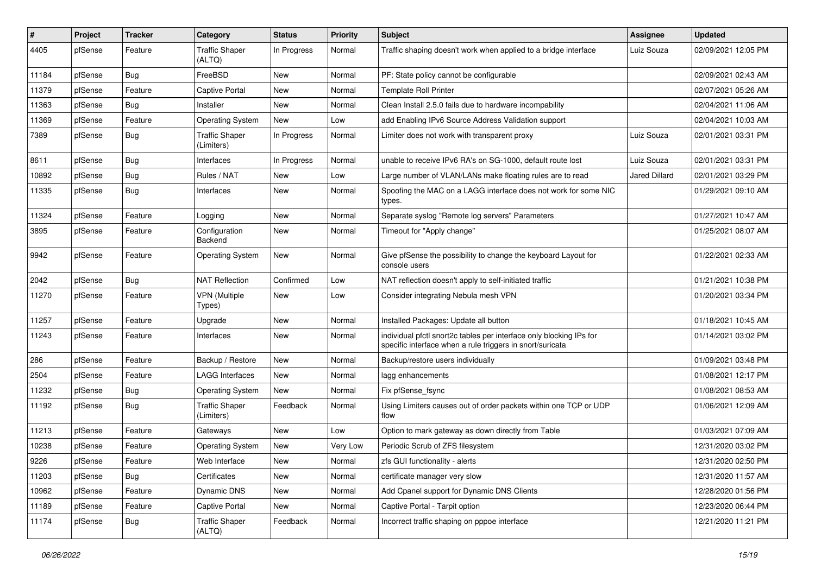| #     | Project | <b>Tracker</b> | Category                            | <b>Status</b> | <b>Priority</b> | Subject                                                                                                                          | Assignee             | <b>Updated</b>      |
|-------|---------|----------------|-------------------------------------|---------------|-----------------|----------------------------------------------------------------------------------------------------------------------------------|----------------------|---------------------|
| 4405  | pfSense | Feature        | <b>Traffic Shaper</b><br>(ALTQ)     | In Progress   | Normal          | Traffic shaping doesn't work when applied to a bridge interface                                                                  | Luiz Souza           | 02/09/2021 12:05 PM |
| 11184 | pfSense | <b>Bug</b>     | FreeBSD                             | New           | Normal          | PF: State policy cannot be configurable                                                                                          |                      | 02/09/2021 02:43 AM |
| 11379 | pfSense | Feature        | <b>Captive Portal</b>               | New           | Normal          | <b>Template Roll Printer</b>                                                                                                     |                      | 02/07/2021 05:26 AM |
| 11363 | pfSense | Bug            | Installer                           | New           | Normal          | Clean Install 2.5.0 fails due to hardware incompability                                                                          |                      | 02/04/2021 11:06 AM |
| 11369 | pfSense | Feature        | <b>Operating System</b>             | <b>New</b>    | Low             | add Enabling IPv6 Source Address Validation support                                                                              |                      | 02/04/2021 10:03 AM |
| 7389  | pfSense | <b>Bug</b>     | <b>Traffic Shaper</b><br>(Limiters) | In Progress   | Normal          | Limiter does not work with transparent proxy                                                                                     | Luiz Souza           | 02/01/2021 03:31 PM |
| 8611  | pfSense | <b>Bug</b>     | Interfaces                          | In Progress   | Normal          | unable to receive IPv6 RA's on SG-1000, default route lost                                                                       | Luiz Souza           | 02/01/2021 03:31 PM |
| 10892 | pfSense | <b>Bug</b>     | Rules / NAT                         | New           | Low             | Large number of VLAN/LANs make floating rules are to read                                                                        | <b>Jared Dillard</b> | 02/01/2021 03:29 PM |
| 11335 | pfSense | Bug            | Interfaces                          | New           | Normal          | Spoofing the MAC on a LAGG interface does not work for some NIC<br>types.                                                        |                      | 01/29/2021 09:10 AM |
| 11324 | pfSense | Feature        | Logging                             | New           | Normal          | Separate syslog "Remote log servers" Parameters                                                                                  |                      | 01/27/2021 10:47 AM |
| 3895  | pfSense | Feature        | Configuration<br>Backend            | <b>New</b>    | Normal          | Timeout for "Apply change"                                                                                                       |                      | 01/25/2021 08:07 AM |
| 9942  | pfSense | Feature        | <b>Operating System</b>             | New           | Normal          | Give pfSense the possibility to change the keyboard Layout for<br>console users                                                  |                      | 01/22/2021 02:33 AM |
| 2042  | pfSense | <b>Bug</b>     | <b>NAT Reflection</b>               | Confirmed     | Low             | NAT reflection doesn't apply to self-initiated traffic                                                                           |                      | 01/21/2021 10:38 PM |
| 11270 | pfSense | Feature        | <b>VPN</b> (Multiple<br>Types)      | New           | Low             | Consider integrating Nebula mesh VPN                                                                                             |                      | 01/20/2021 03:34 PM |
| 11257 | pfSense | Feature        | Upgrade                             | New           | Normal          | Installed Packages: Update all button                                                                                            |                      | 01/18/2021 10:45 AM |
| 11243 | pfSense | Feature        | Interfaces                          | New           | Normal          | individual pfctl snort2c tables per interface only blocking IPs for<br>specific interface when a rule triggers in snort/suricata |                      | 01/14/2021 03:02 PM |
| 286   | pfSense | Feature        | Backup / Restore                    | New           | Normal          | Backup/restore users individually                                                                                                |                      | 01/09/2021 03:48 PM |
| 2504  | pfSense | Feature        | <b>LAGG Interfaces</b>              | New           | Normal          | lagg enhancements                                                                                                                |                      | 01/08/2021 12:17 PM |
| 11232 | pfSense | <b>Bug</b>     | <b>Operating System</b>             | <b>New</b>    | Normal          | Fix pfSense fsync                                                                                                                |                      | 01/08/2021 08:53 AM |
| 11192 | pfSense | <b>Bug</b>     | <b>Traffic Shaper</b><br>(Limiters) | Feedback      | Normal          | Using Limiters causes out of order packets within one TCP or UDP<br>flow                                                         |                      | 01/06/2021 12:09 AM |
| 11213 | pfSense | Feature        | Gateways                            | New           | Low             | Option to mark gateway as down directly from Table                                                                               |                      | 01/03/2021 07:09 AM |
| 10238 | pfSense | Feature        | <b>Operating System</b>             | New           | Very Low        | Periodic Scrub of ZFS filesystem                                                                                                 |                      | 12/31/2020 03:02 PM |
| 9226  | pfSense | Feature        | Web Interface                       | New           | Normal          | zfs GUI functionality - alerts                                                                                                   |                      | 12/31/2020 02:50 PM |
| 11203 | pfSense | Bug            | Certificates                        | New           | Normal          | certificate manager very slow                                                                                                    |                      | 12/31/2020 11:57 AM |
| 10962 | pfSense | Feature        | Dynamic DNS                         | New           | Normal          | Add Cpanel support for Dynamic DNS Clients                                                                                       |                      | 12/28/2020 01:56 PM |
| 11189 | pfSense | Feature        | <b>Captive Portal</b>               | New           | Normal          | Captive Portal - Tarpit option                                                                                                   |                      | 12/23/2020 06:44 PM |
| 11174 | pfSense | <b>Bug</b>     | <b>Traffic Shaper</b><br>(ALTQ)     | Feedback      | Normal          | Incorrect traffic shaping on pppoe interface                                                                                     |                      | 12/21/2020 11:21 PM |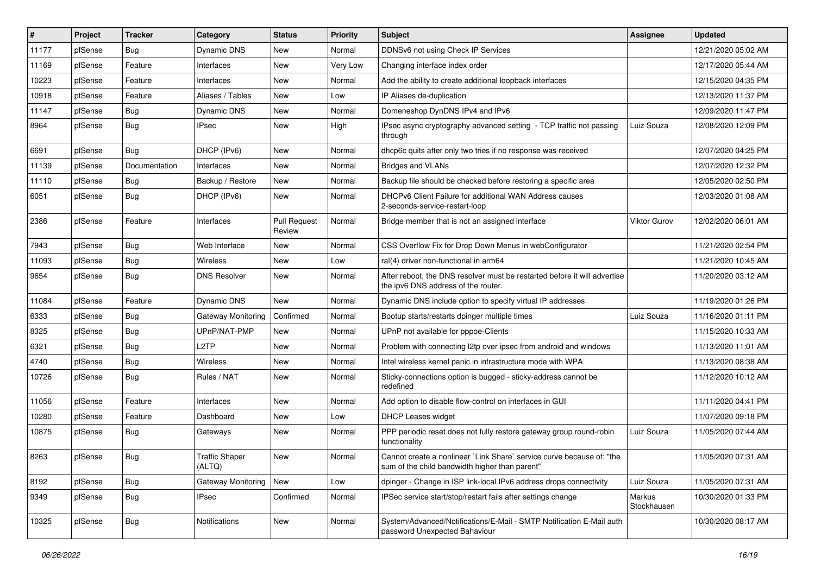| $\vert$ # | Project | <b>Tracker</b> | Category                        | <b>Status</b>                 | <b>Priority</b> | <b>Subject</b>                                                                                                          | Assignee              | <b>Updated</b>      |
|-----------|---------|----------------|---------------------------------|-------------------------------|-----------------|-------------------------------------------------------------------------------------------------------------------------|-----------------------|---------------------|
| 11177     | pfSense | <b>Bug</b>     | Dynamic DNS                     | New                           | Normal          | DDNSv6 not using Check IP Services                                                                                      |                       | 12/21/2020 05:02 AM |
| 11169     | pfSense | Feature        | Interfaces                      | <b>New</b>                    | Very Low        | Changing interface index order                                                                                          |                       | 12/17/2020 05:44 AM |
| 10223     | pfSense | Feature        | Interfaces                      | New                           | Normal          | Add the ability to create additional loopback interfaces                                                                |                       | 12/15/2020 04:35 PM |
| 10918     | pfSense | Feature        | Aliases / Tables                | New                           | Low             | IP Aliases de-duplication                                                                                               |                       | 12/13/2020 11:37 PM |
| 11147     | pfSense | Bug            | Dynamic DNS                     | New                           | Normal          | Domeneshop DynDNS IPv4 and IPv6                                                                                         |                       | 12/09/2020 11:47 PM |
| 8964      | pfSense | <b>Bug</b>     | <b>IPsec</b>                    | New                           | High            | IPsec async cryptography advanced setting - TCP traffic not passing<br>through                                          | Luiz Souza            | 12/08/2020 12:09 PM |
| 6691      | pfSense | Bug            | DHCP (IPv6)                     | <b>New</b>                    | Normal          | dhcp6c quits after only two tries if no response was received                                                           |                       | 12/07/2020 04:25 PM |
| 11139     | pfSense | Documentation  | Interfaces                      | New                           | Normal          | <b>Bridges and VLANs</b>                                                                                                |                       | 12/07/2020 12:32 PM |
| 11110     | pfSense | <b>Bug</b>     | Backup / Restore                | <b>New</b>                    | Normal          | Backup file should be checked before restoring a specific area                                                          |                       | 12/05/2020 02:50 PM |
| 6051      | pfSense | <b>Bug</b>     | DHCP (IPv6)                     | New                           | Normal          | DHCPv6 Client Failure for additional WAN Address causes<br>2-seconds-service-restart-loop                               |                       | 12/03/2020 01:08 AM |
| 2386      | pfSense | Feature        | Interfaces                      | <b>Pull Request</b><br>Review | Normal          | Bridge member that is not an assigned interface                                                                         | <b>Viktor Gurov</b>   | 12/02/2020 06:01 AM |
| 7943      | pfSense | Bug            | Web Interface                   | New                           | Normal          | CSS Overflow Fix for Drop Down Menus in webConfigurator                                                                 |                       | 11/21/2020 02:54 PM |
| 11093     | pfSense | Bug            | <b>Wireless</b>                 | <b>New</b>                    | Low             | ral(4) driver non-functional in arm64                                                                                   |                       | 11/21/2020 10:45 AM |
| 9654      | pfSense | <b>Bug</b>     | <b>DNS Resolver</b>             | New                           | Normal          | After reboot, the DNS resolver must be restarted before it will advertise<br>the ipv6 DNS address of the router.        |                       | 11/20/2020 03:12 AM |
| 11084     | pfSense | Feature        | Dynamic DNS                     | New                           | Normal          | Dynamic DNS include option to specify virtual IP addresses                                                              |                       | 11/19/2020 01:26 PM |
| 6333      | pfSense | <b>Bug</b>     | <b>Gateway Monitoring</b>       | Confirmed                     | Normal          | Bootup starts/restarts dpinger multiple times                                                                           | Luiz Souza            | 11/16/2020 01:11 PM |
| 8325      | pfSense | Bug            | UPnP/NAT-PMP                    | New                           | Normal          | UPnP not available for pppoe-Clients                                                                                    |                       | 11/15/2020 10:33 AM |
| 6321      | pfSense | <b>Bug</b>     | L2TP                            | <b>New</b>                    | Normal          | Problem with connecting I2tp over ipsec from android and windows                                                        |                       | 11/13/2020 11:01 AM |
| 4740      | pfSense | <b>Bug</b>     | <b>Wireless</b>                 | New                           | Normal          | Intel wireless kernel panic in infrastructure mode with WPA                                                             |                       | 11/13/2020 08:38 AM |
| 10726     | pfSense | <b>Bug</b>     | Rules / NAT                     | New                           | Normal          | Sticky-connections option is bugged - sticky-address cannot be<br>redefined                                             |                       | 11/12/2020 10:12 AM |
| 11056     | pfSense | Feature        | Interfaces                      | <b>New</b>                    | Normal          | Add option to disable flow-control on interfaces in GUI                                                                 |                       | 11/11/2020 04:41 PM |
| 10280     | pfSense | Feature        | Dashboard                       | New                           | Low             | <b>DHCP Leases widget</b>                                                                                               |                       | 11/07/2020 09:18 PM |
| 10875     | pfSense | <b>Bug</b>     | Gateways                        | New                           | Normal          | PPP periodic reset does not fully restore gateway group round-robin<br>functionality                                    | Luiz Souza            | 11/05/2020 07:44 AM |
| 8263      | pfSense | Bug            | <b>Traffic Shaper</b><br>(ALTQ) | New                           | Normal          | Cannot create a nonlinear `Link Share` service curve because of: "the<br>sum of the child bandwidth higher than parent" |                       | 11/05/2020 07:31 AM |
| 8192      | pfSense | <b>Bug</b>     | Gateway Monitoring              | New                           | Low             | dpinger - Change in ISP link-local IPv6 address drops connectivity                                                      | Luiz Souza            | 11/05/2020 07:31 AM |
| 9349      | pfSense | <b>Bug</b>     | <b>IPsec</b>                    | Confirmed                     | Normal          | IPSec service start/stop/restart fails after settings change                                                            | Markus<br>Stockhausen | 10/30/2020 01:33 PM |
| 10325     | pfSense | <b>Bug</b>     | Notifications                   | New                           | Normal          | System/Advanced/Notifications/E-Mail - SMTP Notification E-Mail auth<br>password Unexpected Bahaviour                   |                       | 10/30/2020 08:17 AM |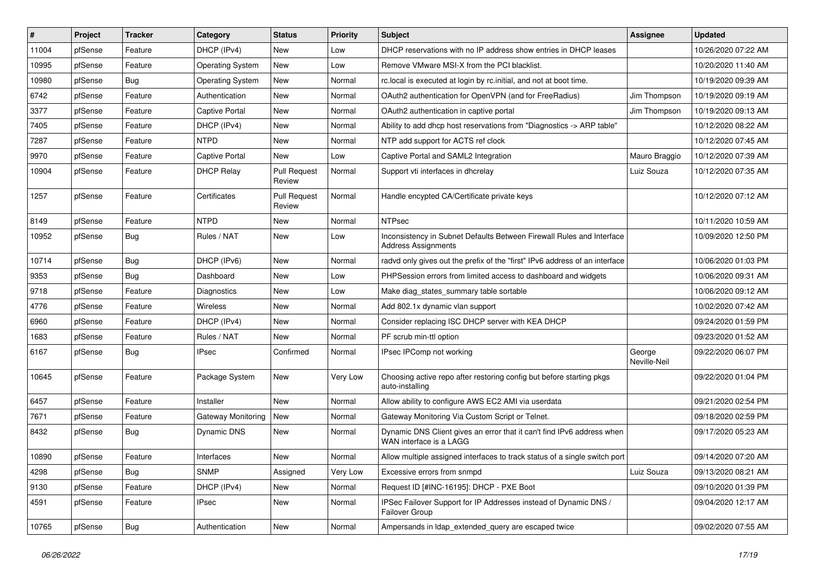| #     | Project | <b>Tracker</b> | Category                | <b>Status</b>                 | <b>Priority</b> | Subject                                                                                             | Assignee               | <b>Updated</b>      |
|-------|---------|----------------|-------------------------|-------------------------------|-----------------|-----------------------------------------------------------------------------------------------------|------------------------|---------------------|
| 11004 | pfSense | Feature        | DHCP (IPv4)             | New                           | Low             | DHCP reservations with no IP address show entries in DHCP leases                                    |                        | 10/26/2020 07:22 AM |
| 10995 | pfSense | Feature        | <b>Operating System</b> | New                           | Low             | Remove VMware MSI-X from the PCI blacklist.                                                         |                        | 10/20/2020 11:40 AM |
| 10980 | pfSense | <b>Bug</b>     | <b>Operating System</b> | New                           | Normal          | rc.local is executed at login by rc.initial, and not at boot time.                                  |                        | 10/19/2020 09:39 AM |
| 6742  | pfSense | Feature        | Authentication          | New                           | Normal          | OAuth2 authentication for OpenVPN (and for FreeRadius)                                              | Jim Thompson           | 10/19/2020 09:19 AM |
| 3377  | pfSense | Feature        | <b>Captive Portal</b>   | <b>New</b>                    | Normal          | OAuth2 authentication in captive portal                                                             | Jim Thompson           | 10/19/2020 09:13 AM |
| 7405  | pfSense | Feature        | DHCP (IPv4)             | New                           | Normal          | Ability to add dhcp host reservations from "Diagnostics -> ARP table"                               |                        | 10/12/2020 08:22 AM |
| 7287  | pfSense | Feature        | <b>NTPD</b>             | New                           | Normal          | NTP add support for ACTS ref clock                                                                  |                        | 10/12/2020 07:45 AM |
| 9970  | pfSense | Feature        | Captive Portal          | New                           | Low             | Captive Portal and SAML2 Integration                                                                | Mauro Braggio          | 10/12/2020 07:39 AM |
| 10904 | pfSense | Feature        | <b>DHCP Relay</b>       | <b>Pull Request</b><br>Review | Normal          | Support vti interfaces in dhcrelay                                                                  | Luiz Souza             | 10/12/2020 07:35 AM |
| 1257  | pfSense | Feature        | Certificates            | <b>Pull Request</b><br>Review | Normal          | Handle encypted CA/Certificate private keys                                                         |                        | 10/12/2020 07:12 AM |
| 8149  | pfSense | Feature        | <b>NTPD</b>             | <b>New</b>                    | Normal          | <b>NTPsec</b>                                                                                       |                        | 10/11/2020 10:59 AM |
| 10952 | pfSense | Bug            | Rules / NAT             | New                           | Low             | Inconsistency in Subnet Defaults Between Firewall Rules and Interface<br><b>Address Assignments</b> |                        | 10/09/2020 12:50 PM |
| 10714 | pfSense | <b>Bug</b>     | DHCP (IPv6)             | <b>New</b>                    | Normal          | radyd only gives out the prefix of the "first" IPv6 address of an interface                         |                        | 10/06/2020 01:03 PM |
| 9353  | pfSense | <b>Bug</b>     | Dashboard               | New                           | Low             | PHPSession errors from limited access to dashboard and widgets                                      |                        | 10/06/2020 09:31 AM |
| 9718  | pfSense | Feature        | Diagnostics             | New                           | Low             | Make diag_states_summary table sortable                                                             |                        | 10/06/2020 09:12 AM |
| 4776  | pfSense | Feature        | Wireless                | New                           | Normal          | Add 802.1x dynamic vlan support                                                                     |                        | 10/02/2020 07:42 AM |
| 6960  | pfSense | Feature        | DHCP (IPv4)             | New                           | Normal          | Consider replacing ISC DHCP server with KEA DHCP                                                    |                        | 09/24/2020 01:59 PM |
| 1683  | pfSense | Feature        | Rules / NAT             | New                           | Normal          | PF scrub min-ttl option                                                                             |                        | 09/23/2020 01:52 AM |
| 6167  | pfSense | Bug            | IPsec                   | Confirmed                     | Normal          | IPsec IPComp not working                                                                            | George<br>Neville-Neil | 09/22/2020 06:07 PM |
| 10645 | pfSense | Feature        | Package System          | New                           | Very Low        | Choosing active repo after restoring config but before starting pkgs<br>auto-installing             |                        | 09/22/2020 01:04 PM |
| 6457  | pfSense | Feature        | Installer               | <b>New</b>                    | Normal          | Allow ability to configure AWS EC2 AMI via userdata                                                 |                        | 09/21/2020 02:54 PM |
| 7671  | pfSense | Feature        | Gateway Monitoring      | New                           | Normal          | Gateway Monitoring Via Custom Script or Telnet.                                                     |                        | 09/18/2020 02:59 PM |
| 8432  | pfSense | Bug            | <b>Dynamic DNS</b>      | New                           | Normal          | Dynamic DNS Client gives an error that it can't find IPv6 address when<br>WAN interface is a LAGG   |                        | 09/17/2020 05:23 AM |
| 10890 | pfSense | Feature        | Interfaces              | New                           | Normal          | Allow multiple assigned interfaces to track status of a single switch port                          |                        | 09/14/2020 07:20 AM |
| 4298  | pfSense | Bug            | <b>SNMP</b>             | Assigned                      | Very Low        | Excessive errors from snmpd                                                                         | Luiz Souza             | 09/13/2020 08:21 AM |
| 9130  | pfSense | Feature        | DHCP (IPv4)             | New                           | Normal          | Request ID [#INC-16195]: DHCP - PXE Boot                                                            |                        | 09/10/2020 01:39 PM |
| 4591  | pfSense | Feature        | IPsec                   | New                           | Normal          | IPSec Failover Support for IP Addresses instead of Dynamic DNS /<br>Failover Group                  |                        | 09/04/2020 12:17 AM |
| 10765 | pfSense | <b>Bug</b>     | Authentication          | New                           | Normal          | Ampersands in Idap_extended_query are escaped twice                                                 |                        | 09/02/2020 07:55 AM |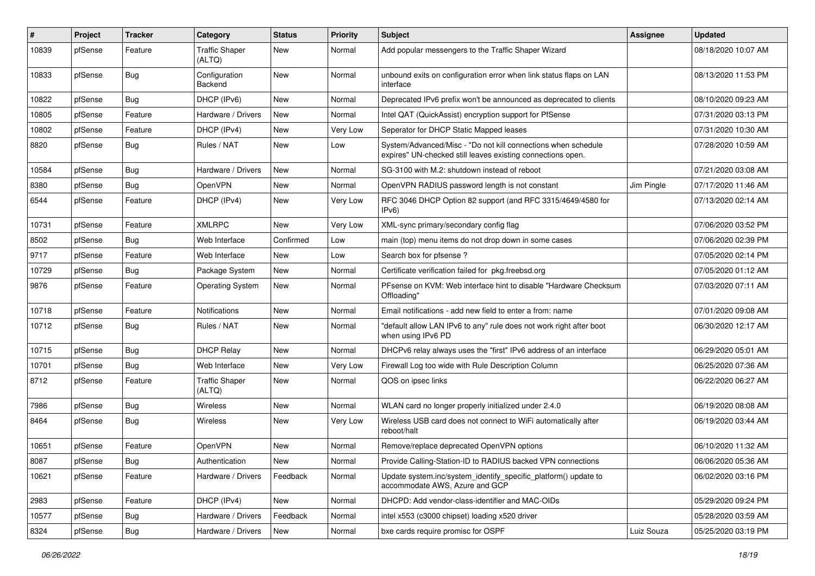| #     | Project | <b>Tracker</b> | Category                        | <b>Status</b> | <b>Priority</b> | <b>Subject</b>                                                                                                               | Assignee   | <b>Updated</b>      |
|-------|---------|----------------|---------------------------------|---------------|-----------------|------------------------------------------------------------------------------------------------------------------------------|------------|---------------------|
| 10839 | pfSense | Feature        | <b>Traffic Shaper</b><br>(ALTQ) | New           | Normal          | Add popular messengers to the Traffic Shaper Wizard                                                                          |            | 08/18/2020 10:07 AM |
| 10833 | pfSense | <b>Bug</b>     | Configuration<br>Backend        | New           | Normal          | unbound exits on configuration error when link status flaps on LAN<br>interface                                              |            | 08/13/2020 11:53 PM |
| 10822 | pfSense | <b>Bug</b>     | DHCP (IPv6)                     | New           | Normal          | Deprecated IPv6 prefix won't be announced as deprecated to clients                                                           |            | 08/10/2020 09:23 AM |
| 10805 | pfSense | Feature        | Hardware / Drivers              | New           | Normal          | Intel QAT (QuickAssist) encryption support for PfSense                                                                       |            | 07/31/2020 03:13 PM |
| 10802 | pfSense | Feature        | DHCP (IPv4)                     | New           | Very Low        | Seperator for DHCP Static Mapped leases                                                                                      |            | 07/31/2020 10:30 AM |
| 8820  | pfSense | <b>Bug</b>     | Rules / NAT                     | New           | Low             | System/Advanced/Misc - "Do not kill connections when schedule<br>expires" UN-checked still leaves existing connections open. |            | 07/28/2020 10:59 AM |
| 10584 | pfSense | <b>Bug</b>     | Hardware / Drivers              | <b>New</b>    | Normal          | SG-3100 with M.2: shutdown instead of reboot                                                                                 |            | 07/21/2020 03:08 AM |
| 8380  | pfSense | <b>Bug</b>     | OpenVPN                         | New           | Normal          | OpenVPN RADIUS password length is not constant                                                                               | Jim Pingle | 07/17/2020 11:46 AM |
| 6544  | pfSense | Feature        | DHCP (IPv4)                     | New           | Very Low        | RFC 3046 DHCP Option 82 support (and RFC 3315/4649/4580 for<br>IPv6                                                          |            | 07/13/2020 02:14 AM |
| 10731 | pfSense | Feature        | <b>XMLRPC</b>                   | New           | Very Low        | XML-sync primary/secondary config flag                                                                                       |            | 07/06/2020 03:52 PM |
| 8502  | pfSense | <b>Bug</b>     | Web Interface                   | Confirmed     | Low             | main (top) menu items do not drop down in some cases                                                                         |            | 07/06/2020 02:39 PM |
| 9717  | pfSense | Feature        | Web Interface                   | New           | Low             | Search box for pfsense?                                                                                                      |            | 07/05/2020 02:14 PM |
| 10729 | pfSense | <b>Bug</b>     | Package System                  | New           | Normal          | Certificate verification failed for pkg.freebsd.org                                                                          |            | 07/05/2020 01:12 AM |
| 9876  | pfSense | Feature        | <b>Operating System</b>         | New           | Normal          | PFsense on KVM: Web interface hint to disable "Hardware Checksum<br>Offloading"                                              |            | 07/03/2020 07:11 AM |
| 10718 | pfSense | Feature        | Notifications                   | New           | Normal          | Email notifications - add new field to enter a from: name                                                                    |            | 07/01/2020 09:08 AM |
| 10712 | pfSense | <b>Bug</b>     | Rules / NAT                     | New           | Normal          | "default allow LAN IPv6 to any" rule does not work right after boot<br>when using IPv6 PD                                    |            | 06/30/2020 12:17 AM |
| 10715 | pfSense | Bug            | <b>DHCP Relay</b>               | New           | Normal          | DHCPv6 relay always uses the "first" IPv6 address of an interface                                                            |            | 06/29/2020 05:01 AM |
| 10701 | pfSense | Bug            | Web Interface                   | New           | Very Low        | Firewall Log too wide with Rule Description Column                                                                           |            | 06/25/2020 07:36 AM |
| 8712  | pfSense | Feature        | <b>Traffic Shaper</b><br>(ALTQ) | New           | Normal          | QOS on ipsec links                                                                                                           |            | 06/22/2020 06:27 AM |
| 7986  | pfSense | <b>Bug</b>     | Wireless                        | New           | Normal          | WLAN card no longer properly initialized under 2.4.0                                                                         |            | 06/19/2020 08:08 AM |
| 8464  | pfSense | <b>Bug</b>     | Wireless                        | New           | Very Low        | Wireless USB card does not connect to WiFi automatically after<br>reboot/halt                                                |            | 06/19/2020 03:44 AM |
| 10651 | pfSense | Feature        | OpenVPN                         | New           | Normal          | Remove/replace deprecated OpenVPN options                                                                                    |            | 06/10/2020 11:32 AM |
| 8087  | pfSense | <b>Bug</b>     | Authentication                  | New           | Normal          | Provide Calling-Station-ID to RADIUS backed VPN connections                                                                  |            | 06/06/2020 05:36 AM |
| 10621 | pfSense | Feature        | Hardware / Drivers              | Feedback      | Normal          | Update system.inc/system_identify_specific_platform() update to<br>accommodate AWS, Azure and GCP                            |            | 06/02/2020 03:16 PM |
| 2983  | pfSense | Feature        | DHCP (IPv4)                     | New           | Normal          | DHCPD: Add vendor-class-identifier and MAC-OIDs                                                                              |            | 05/29/2020 09:24 PM |
| 10577 | pfSense | Bug            | Hardware / Drivers              | Feedback      | Normal          | intel x553 (c3000 chipset) loading x520 driver                                                                               |            | 05/28/2020 03:59 AM |
| 8324  | pfSense | Bug            | Hardware / Drivers              | New           | Normal          | bxe cards require promisc for OSPF                                                                                           | Luiz Souza | 05/25/2020 03:19 PM |